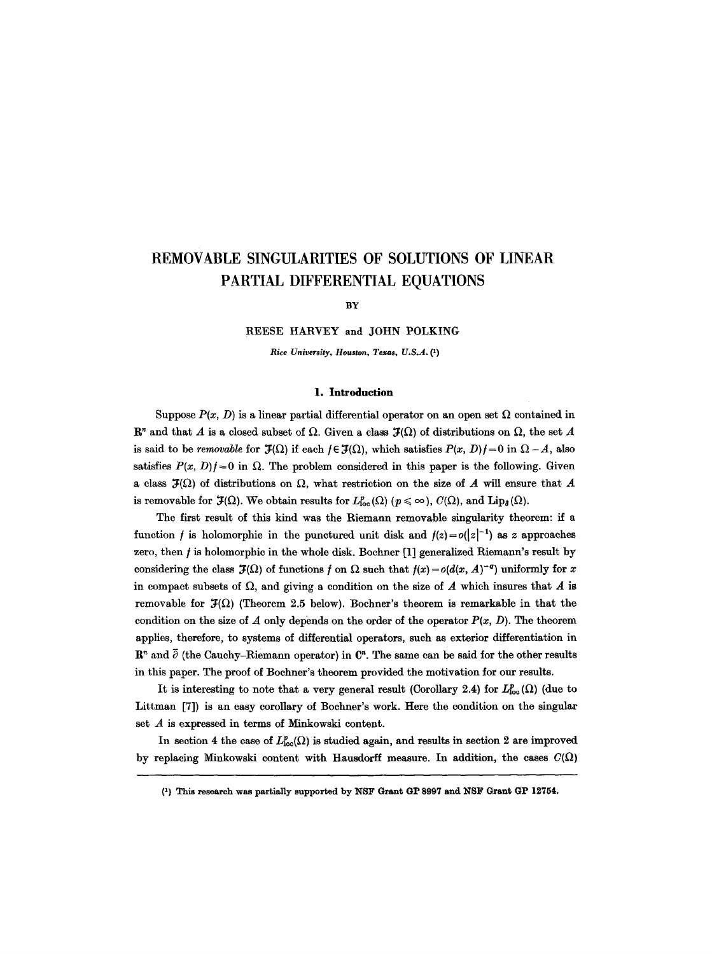# **REMOVABLE SINGULARITIES OF SOLUTIONS OF LINEAR PARTIAL DIFFERENTIAL EQUATIONS**

BY

**REESE** HARVEY and JOHN POLKING

*Rice University, Houston, Texas, U.S.A. Q)* 

## **1. Introduction**

Suppose  $P(x, D)$  is a linear partial differential operator on an open set  $\Omega$  contained in  $\mathbb{R}^n$  and that A is a closed subset of  $\Omega$ . Given a class  $\mathcal{F}(\Omega)$  of distributions on  $\Omega$ , the set A is said to be *removable* for  $\mathcal{F}(\Omega)$  if each  $f \in \mathcal{F}(\Omega)$ , which satisfies  $P(x, D)f = 0$  in  $\Omega - A$ , also satisfies  $P(x, D)f = 0$  in  $\Omega$ . The problem considered in this paper is the following. Given a class  $\mathcal{J}(\Omega)$  of distributions on  $\Omega$ , what restriction on the size of A will ensure that A is removable for  $\mathfrak{F}(\Omega)$ . We obtain results for  $L^p_{loc}(\Omega)$  ( $p \leq \infty$ ),  $C(\Omega)$ , and  $\text{Lip}_{\delta}(\Omega)$ .

The first result of this kind was the Riemann removable singularity theorem: if a function f is holomorphic in the punctured unit disk and  $f(z) = o(|z|^{-1})$  as z approaches zero, then  $f$  is holomorphic in the whole disk. Bochner  $[1]$  generalized Riemann's result by considering the class  $\mathcal{F}(\Omega)$  of functions f on  $\Omega$  such that  $f(x) = o(d(x, A)^{-q})$  uniformly for x in compact subsets of  $\Omega$ , and giving a condition on the size of A which insures that A is removable for  $J(\Omega)$  (Theorem 2.5 below). Bochner's theorem is remarkable in that the condition on the size of A only depends on the order of the operator  $P(x, D)$ . The theorem applies, therefore, to systems of differential operators, such as exterior differentiation in  $\mathbb{R}^n$  and  $\overline{\partial}$  (the Cauchy-Riemann operator) in  $\mathbb{C}^n$ . The same can be said for the other results in this paper. The proof of Bochner's theorem provided the motivation for our results.

It is interesting to note that a very general result (Corollary 2.4) for  $L^p_{loc}(\Omega)$  (due to Littman [7]) is an easy corollary of Bochner's work. Here the condition on the singular set A is expressed in terms of Minkowski content.

In section 4 the case of  $L_{\text{loc}}^p(\Omega)$  is studied again, and results in section 2 are improved by replacing Minkowski content with Hausdorff measure. In addition, the cases  $C(\Omega)$ 

**<sup>(1)</sup> This research was partially supported by NSF Grant GP 8997 and NSF Grant GP 12754.**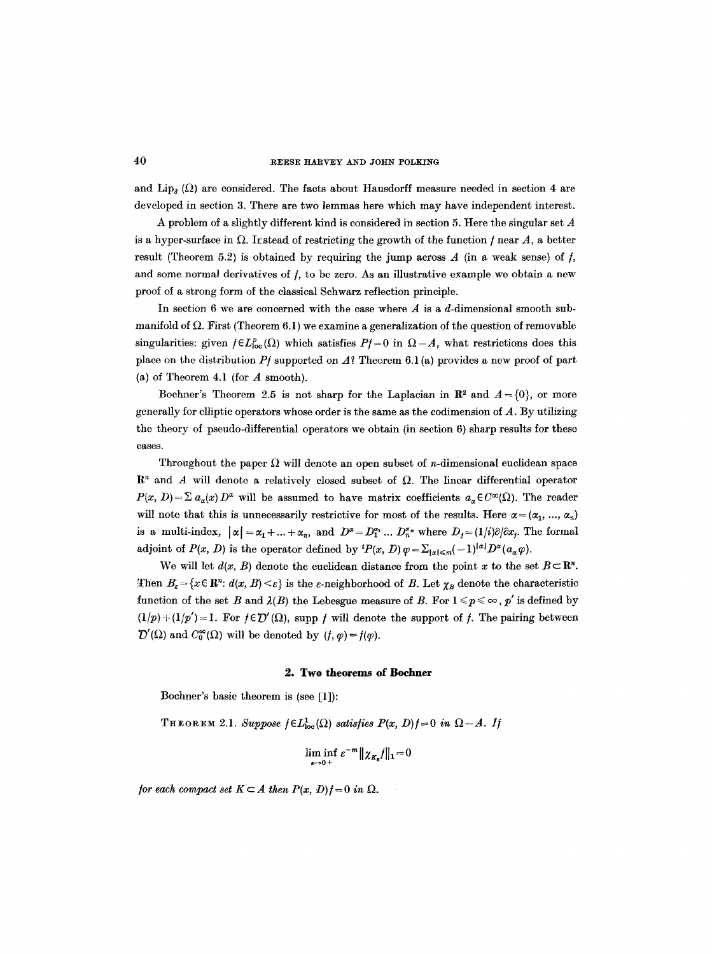and  $\text{Lip}_{\delta}(\Omega)$  are considered. The facts about Hausdorff measure needed in section 4 are developed in section 3. There are two lemmas here which may have independent interest.

A problem of a slightly different kind is considered in section 5. Here the singular set A is a hyper-surface in  $\Omega$ . It stead of restricting the growth of the function f near A, a better result (Theorem 5.2) is obtained by requiring the jump across  $A$  (in a weak sense) of  $f$ , and some normal derivatives of  $f$ , to be zero. As an illustrative example we obtain a new proof of a strong form of the classical Schwarz reflection principle.

In section 6 we are concerned with the case where  $A$  is a d-dimensional smooth submanifold of  $\Omega$ . First (Theorem 6.1) we examine a generalization of the question of removable singularities: given  $f \in L_{loc}^p(\Omega)$  which satisfies  $Pf=0$  in  $\Omega-A$ , what restrictions does this place on the distribution *P/ supported* on A? Theorem 6.1 (a) provides a new proof of part (a) of Theorem 4.1 (for A smooth).

Bochner's Theorem 2.5 is not sharp for the Laplacian in  $\mathbb{R}^2$  and  $A = \{0\}$ , or more generally for elliptic operators whose order is the same as the codimension of A. By utilizing the theory of pseudo-differential operators we obtain (in section  $6$ ) sharp results for these cases.

Throughout the paper  $\Omega$  will denote an open subset of *n*-dimensional euclidean space  $\mathbb{R}^n$  and A will denote a relatively closed subset of  $\Omega$ . The linear differential operator  $P(x, D) = \sum a_{\alpha}(x) D^{\alpha}$  will be assumed to have matrix coefficients  $a_{\alpha} \in C^{\infty}(\Omega)$ . The reader will note that this is unnecessarily restrictive for most of the results. Here  $\alpha = (\alpha_1, ..., \alpha_n)$ is a multi-index,  $|\alpha| = \alpha_1 + ... + \alpha_n$ , and  $D^{\alpha} = D_1^{\alpha_1} ... D_n^{\alpha_n}$  where  $D_j = (1/i)\partial/\partial x_j$ . The formal adjoint of  $P(x, D)$  is the operator defined by  ${}^{t}P(x, D)\varphi = \sum_{|x| \leq m} (-1)^{|x|} D^x(a_x \varphi)$ .

We will let  $d(x, B)$  denote the euclidean distance from the point x to the set  $B \subset \mathbb{R}^n$ . Then  $B_{\varepsilon} = \{x \in \mathbb{R}^n: d(x, B) \leq \varepsilon\}$  is the  $\varepsilon$ -neighborhood of B. Let  $\chi_B$  denote the characteristic function of the set B and  $\lambda(B)$  the Lebesgue measure of B. For  $1 \le p \le \infty$ , p' is defined by  $(1/p) + (1/p') = 1$ . For  $f \in \mathcal{D}'(\Omega)$ , supp f will denote the support of f. The pairing between  $\mathcal{D}'(\Omega)$  and  $C_0^{\infty}(\Omega)$  will be denoted by  $(f, \varphi) = f(\varphi)$ .

#### **2. Two theorems of Bochner**

Bochner's basic theorem is (see [1]):

THEOREM 2.1. *Suppose*  $f \in L^1_{loc}(\Omega)$  satisfies  $P(x, D)f = 0$  in  $\Omega - A$ . If

$$
\liminf_{\varepsilon\to 0^+}\varepsilon^{-m}\|\chi_{K_{\varepsilon}}f\|_1=0
$$

*for each compact set*  $K \subset A$  *then*  $P(x, D)$  $f = 0$  *in*  $\Omega$ *.*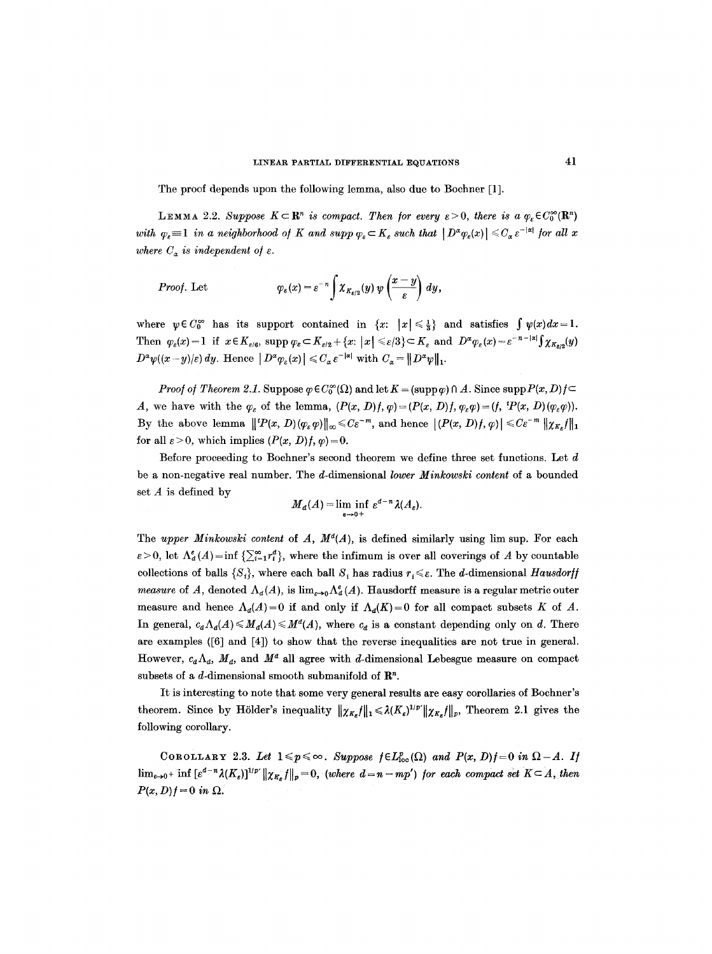The proof depends upon the following lemma, also due to Bochner [1].

**LEMMA** 2.2. *Suppose*  $K \subset \mathbb{R}^n$  *is compact. Then for every*  $\epsilon > 0$ *, there is a*  $\varphi_r \in C_0^{\infty}(\mathbb{R}^n)$ with  $\varphi_{\varepsilon} = 1$  in a neighborhood of K and supp  $\varphi_{\varepsilon} \subset K_{\varepsilon}$  such that  $|D^{\alpha} \varphi_{\varepsilon}(x)| \leq C_{\alpha} \varepsilon^{-|\alpha|}$  for all x *where*  $C_a$  *is independent of*  $\varepsilon$ *.* 

*Proof.* Let 
$$
\varphi_{\varepsilon}(x) = \varepsilon^{-n} \int \chi_{K_{\varepsilon/2}}(y) \, \psi\left(\frac{x-y}{\varepsilon}\right) \, dy,
$$

where  $\psi \in C_0^{\infty}$  has its support contained in  $\{x: |x| \leq \frac{1}{3}\}$  and satisfies  $\int \psi(x)dx=1$ . Then  $\varphi_{\varepsilon}(x)=1$  if  $x \in K_{\varepsilon/6}$ ,  $\sup p \varphi_{\varepsilon} \subset K_{\varepsilon/2} + \{x: |x| \leqslant \varepsilon/3\} \subset K_{\varepsilon}$  and  $D^{\alpha} \varphi_{\varepsilon}(x)=\varepsilon^{-n-|\alpha|} \int \chi_{K_{\varepsilon/2}}(y)$  $D^{\alpha}\psi((x-y)|\varepsilon) dy$ . Hence  $|D^{\alpha}\varphi_{\varepsilon}(x)| \leqslant C_{\alpha} \varepsilon^{-|\alpha|}$  with  $C_{\alpha} = ||D^{\alpha}\psi||_1$ .

*Proof of Theorem 2.1.* Suppose  $\varphi \in C_0^{\infty}(\Omega)$  and let  $K = (\text{supp }\varphi) \cap A$ . Since supp  $P(x, D) f \subset$ A, we have with the  $\varphi_{\varepsilon}$  of the lemma,  $(P(x, D)f, \varphi) = (P(x, D)f, \varphi_{\varepsilon} \varphi) = (f, {}^tP(x, D)(\varphi_{\varepsilon} \varphi)).$ By the above lemma  $||^{t}P(x, D)(\varphi_{\varepsilon}\varphi)||_{\infty} \leq C\varepsilon^{-m}$ , and hence  $|(P(x, D)f, \varphi)| \leq C\varepsilon^{-m} ||\chi_{K_{\varepsilon}}f||_{1}$ for all  $\varepsilon > 0$ , which implies  $(P(x, D)f, \varphi) = 0$ .

Before proceeding to Bochner's second theorem we define three set functions. Let  $d$ be a non-negative real number. The d-dimensional lower Minkowski content of a bounded set  $A$  is defined by

$$
M_d(A) = \liminf_{\varepsilon \to 0^+} \varepsilon^{d-n} \lambda(A_{\varepsilon}).
$$

The *upper Minkowski content* of  $A$ ,  $M<sup>d</sup>(A)$ , is defined similarly using lim sup. For each  $\varepsilon > 0$ , let  $\Lambda_d^e(A) = \inf \left\{ \sum_{i=1}^\infty r_i^d \right\}$ , where the infimum is over all coverings of A by countable collections of balls  $\{S_i\}$ , where each ball  $S_i$  has radius  $r_i \leq \varepsilon$ . The d-dimensional *Hausdorff measure* of A, denoted  $\Lambda_d(A)$ , is  $\lim_{\epsilon \to 0} \Lambda_d^s(A)$ . Hausdorff measure is a regular metric outer measure and hence  $\Lambda_d(A)=0$  if and only if  $\Lambda_d(K)=0$  for all compact subsets K of A. In general,  $c_d\Lambda_d(A) \leq M_d(A) \leq M^d(A)$ , where  $c_d$  is a constant depending only on d. There are examples ([6] and [4]) to show that the reverse inequalities are not true in general. However,  $c_d \Lambda_d$ ,  $M_d$ , and  $M^d$  all agree with d-dimensional Lebesgue measure on compact subsets of a d-dimensional smooth submanifold of  $\mathbb{R}^n$ .

It is interesting to note that some very general results are easy corollaries of Bochner's theorem. Since by Hölder's inequality  $||\chi_{K_{\varepsilon}}f||_1 \leq \lambda (K_{\varepsilon})^{1/p'}||\chi_{K_{\varepsilon}}f||_p$ , Theorem 2.1 gives the following corollary.

COROLLARY 2.3. Let  $1 \leq p \leq \infty$ . Suppose  $f \in L^{p}_{loc}(\Omega)$  and  $P(x, D)f = 0$  in  $\Omega - A$ . If  $\lim_{\varepsilon\to 0^+}$  inf  $[\varepsilon^{d-n}\lambda(K_{\varepsilon})]^{1/p'}\|\chi_{K_{\varepsilon}}f\|_p=0$ , *(where*  $d=n-mp'$ *) for each compact set*  $K\subset A$ , then  $P(x, D)$ *f* = 0 *in*  $\Omega$ *.*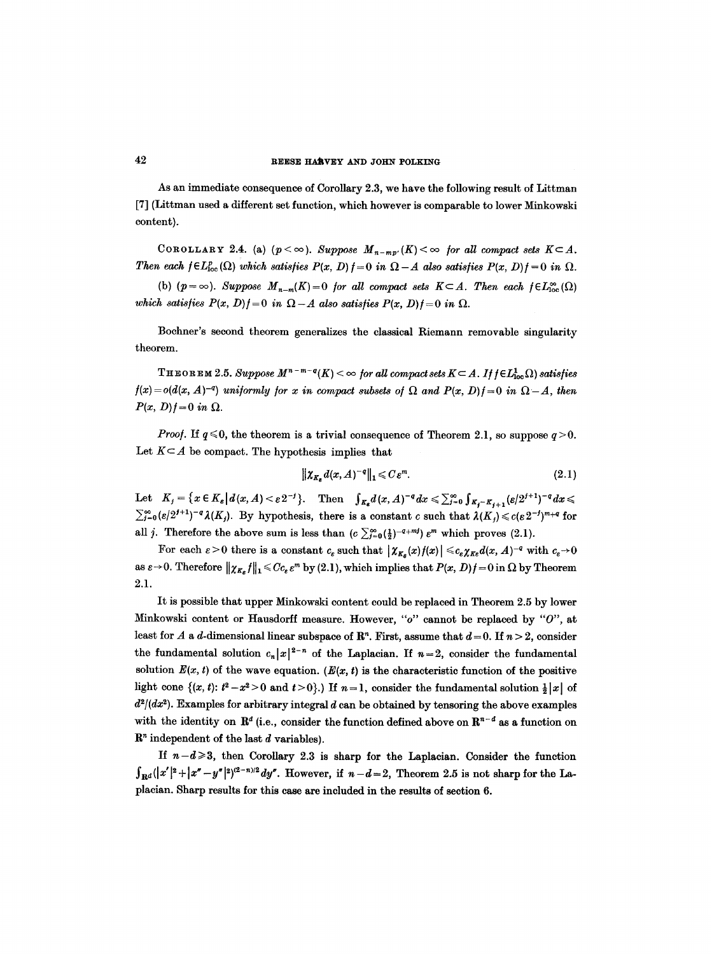As an immediate consequence of Corollary 2.3, we have the following result of Littman [7] (Littman used a different set function, which however is comparable to lower Minkowski content).

COROLLARY 2.4. (a)  $(p < \infty)$ . Suppose  $M_{n-mp'}(K) < \infty$  for all compact sets  $K \subset A$ . *Then each*  $f \in L^p_{loc}(\Omega)$  *which satisfies*  $P(x, D) f = 0$  *in*  $\Omega - A$  *also satisfies*  $P(x, D) f = 0$  *in*  $\Omega$ *.* 

(b)  $(p = \infty)$ . *Suppose*  $M_{n-m}(K) = 0$  *for all compact sets*  $K \subset A$ . Then each  $f \in L^{\infty}_{loc}(\Omega)$ *which satisfies*  $P(x, D)f = 0$  *in*  $\Omega - A$  *also satisfies*  $P(x, D)f = 0$  *in*  $\Omega$ *.* 

Bochner's second theorem generalizes the classical Riemann removable singularity theorem.

THEOREM 2.5. Suppose  $M^{n-m-q}(K) < \infty$  for all compact sets  $K \subset A$ . If  $f \in L^1_{loc}(\Omega)$  satisfies  $f(x) = o(d(x, A)^{-q})$  uniformly for x in compact subsets of  $\Omega$  and  $P(x, D) = 0$  in  $\Omega - A$ , then  $P(x, D)f = 0$  *in*  $\Omega$ .

*Proof.* If  $q \le 0$ , the theorem is a trivial consequence of Theorem 2.1, so suppose  $q > 0$ . Let  $K \subseteq A$  be compact. The hypothesis implies that

$$
\|\chi_{K_{\kappa}}d(x,A)^{-\mathfrak{q}}\|_{1}\leqslant C\,\varepsilon^{m}.\tag{2.1}
$$

Let  $K_j = \{x \in K_s | d(x, A) < \varepsilon 2^{-j}\}.$  Then  $\int_{K_s} d(x, A)^{-q} dx \leq \sum_{j=0}^{\infty} \int_{K_j - K_{j+1}} (\varepsilon/2^{j+1})^{-q} dx \leq$  $\sum_{i=0}^{\infty} (e/2^{i+1})^{-q} \lambda(K_i)$ . By hypothesis, there is a constant c such that  $\lambda(K_i) \leqslant c(e 2^{-i})^{m+q}$  for all *j*. Therefore the above sum is less than  $(c \sum_{i=0}^{\infty} (\frac{1}{2})^{-(i+m)} \varepsilon^m$  which proves (2.1).

For each  $\varepsilon > 0$  there is a constant  $c_{\varepsilon}$  such that  $|\chi_{K_{\varepsilon}}(x)f(x)| \leqslant c_{\varepsilon} \chi_{K_{\varepsilon}} d(x, A)^{-q}$  with  $c_{\varepsilon} \to 0$ as  $\varepsilon \to 0$ . Therefore  $\|\chi_{K_{\varepsilon}}f\|_1 \leqslant Cc_{\varepsilon} \varepsilon^m$  by (2.1), which implies that  $P(x, D)f = 0$  in  $\Omega$  by Theorem 2.1.

It is possible that upper Minkowski content could be replaced in Theorem 2.5 by lower Minkowski content or Hausdorff measure. However, *"o"* cannot be replaced by *"0", at*  least for A a d-dimensional linear subspace of  $\mathbb{R}^n$ . First, assume that  $d=0$ . If  $n > 2$ , consider the fundamental solution  $c_n|x|^{2-n}$  of the Laplacian. If  $n=2$ , consider the fundamental solution  $E(x, t)$  of the wave equation.  $(E(x, t))$  is the characteristic function of the positive light cone  $\{(x, t): t^2 - x^2 > 0 \text{ and } t > 0\}$ . If  $n = 1$ , consider the fundamental solution  $\frac{1}{2}|x|$  of  $d^2/(dx^2)$ . Examples for arbitrary integral d can be obtained by tensoring the above examples with the identity on  $\mathbb{R}^d$  (i.e., consider the function defined above on  $\mathbb{R}^{n-d}$  as a function on  $\mathbb{R}^n$  independent of the last  $d$  variables).

If  $n-d \geq 3$ , then Corollary 2.3 is sharp for the Laplacian. Consider the function  $\int_{\mathbf{R}^d}(|x'|^2+|x''-y''|^2)^{(2-n)/2}dy''$ . However, if  $n-d=2$ , Theorem 2.5 is not sharp for the Laplacian. Sharp results for this case are included in the results of section 6.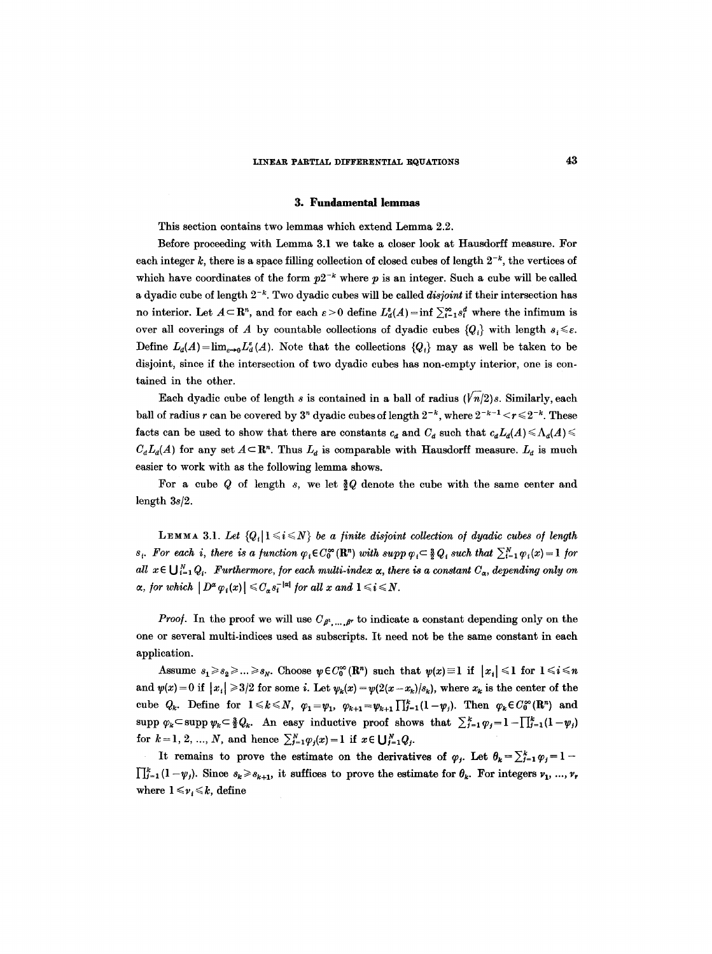#### **3. Fundamental lemmas**

This section contains two lemmas which extend Lemma 2.2.

Before proceeding with Lemma 3.1 we take a closer look at Hausdorff measure. For each integer k, there is a space filling collection of closed cubes of length  $2^{-k}$ , the vertices of which have coordinates of the form  $p2^{-k}$  where p is an integer. Such a cube will be called a dyadic cube of length  $2^{-k}$ . Two dyadic cubes will be called *disjoint* if their intersection has no interior. Let  $A \subseteq \mathbb{R}^n$ , and for each  $\varepsilon > 0$  define  $L^{\varepsilon}_d(A) = \inf \sum_{i=1}^{\infty} s_i^d$  where the infimum is over all coverings of A by countable collections of dyadic cubes  ${Q_i}$  with length  $s_i \leq \varepsilon$ . Define  $L_d(A) = \lim_{k \to 0} L_d^e(A)$ . Note that the collections  ${Q_i}$  may as well be taken to be disjoint, since if the intersection of two dyadic cubes has non-empty interior, one is contained in the other.

Each dyadic cube of length s is contained in a ball of radius  $(\sqrt{n}/2)$ s. Similarly, each ball of radius r can be covered by  $3^n$  dyadic cubes of length  $2^{-k}$ , where  $2^{-k-1} < r \leq 2^{-k}$ . These facts can be used to show that there are constants  $c_d$  and  $C_d$  such that  $c_d L_d(A) \leq \Lambda_d(A) \leq$  $C_d L_d(\mathcal{A})$  for any set  $\mathcal{A} \subset \mathbb{R}^n$ . Thus  $L_d$  is comparable with Hausdorff measure.  $L_d$  is much easier to work with as the following lemma shows.

For a cube Q of length s, we let  $Q$  denote the cube with the same center and length *3s/2.* 

LEMMA 3.1. Let  ${Q_i | 1 \le i \le N}$  be a finite disjoint collection of dyadic cubes of length  $s_i$ . For each *i*, there is a function  $\varphi_i \in C_0^{\infty}(\mathbb{R}^n)$  with  $supp \varphi_i \subset \frac{3}{2}Q_i$  such that  $\sum_{i=1}^N \varphi_i(x) = 1$  for all  $x \in \bigcup_{i=1}^N Q_i$ . Furthermore, for each multi-index  $\alpha$ , there is a constant  $C_\alpha$ , depending only on  $\alpha$ , for which  $|D^{\alpha} \varphi_i(x)| \leq C_{\alpha} s_i^{-|\alpha|}$  for all  $x$  and  $1 \leq i \leq N$ .

*Proof.* In the proof we will use  $C_{\beta^1,\ldots,\beta^r}$  to indicate a constant depending only on the one or several multi-indices used as subscripts. It need not be the same constant in each application.

Assume  $s_1 \geq s_2 \geq \ldots \geq s_N$ . Choose  $\psi \in C_0^{\infty}(\mathbb{R}^n)$  such that  $\psi(x)=1$  if  $|x_i| \leq 1$  for  $1 \leq i \leq n$ and  $\psi(x) = 0$  if  $|x_i| \geq 3/2$  for some *i*. Let  $\psi_k(x) = \psi(2(x - x_k)/s_k)$ , where  $x_k$  is the center of the cube  $Q_k$ . Define for  $1 \leq k \leq N$ ,  $\varphi_1 = \psi_1$ ,  $\varphi_{k+1} = \psi_{k+1} \prod_{j=1}^k (1-\psi_j)$ . Then  $\varphi_k \in C_0^{\infty}(\mathbb{R}^n)$  and supp  $\varphi_k \subset \text{supp }\psi_k \subset \frac{3}{2}Q_k$ . An easy inductive proof shows that  $\sum_{j=1}^k \varphi_j = 1-\prod_{j=1}^k(1-\psi_j)$ for  $k=1, 2, ..., N$ , and hence  $\sum_{j=1}^{N} \varphi_j(x)=1$  if  $x \in \bigcup_{j=1}^{N} Q_j$ .

It remains to prove the estimate on the derivatives of  $\varphi_j$ . Let  $\theta_k = \sum_{j=1}^k \varphi_j = 1-1$  $\prod_{j=1}^k (1 - \psi_j)$ . Since  $s_k \geq s_{k+1}$ , it suffices to prove the estimate for  $\theta_k$ . For integers  $\nu_1, ..., \nu_r$ where  $1 \leq v_i \leq k$ , define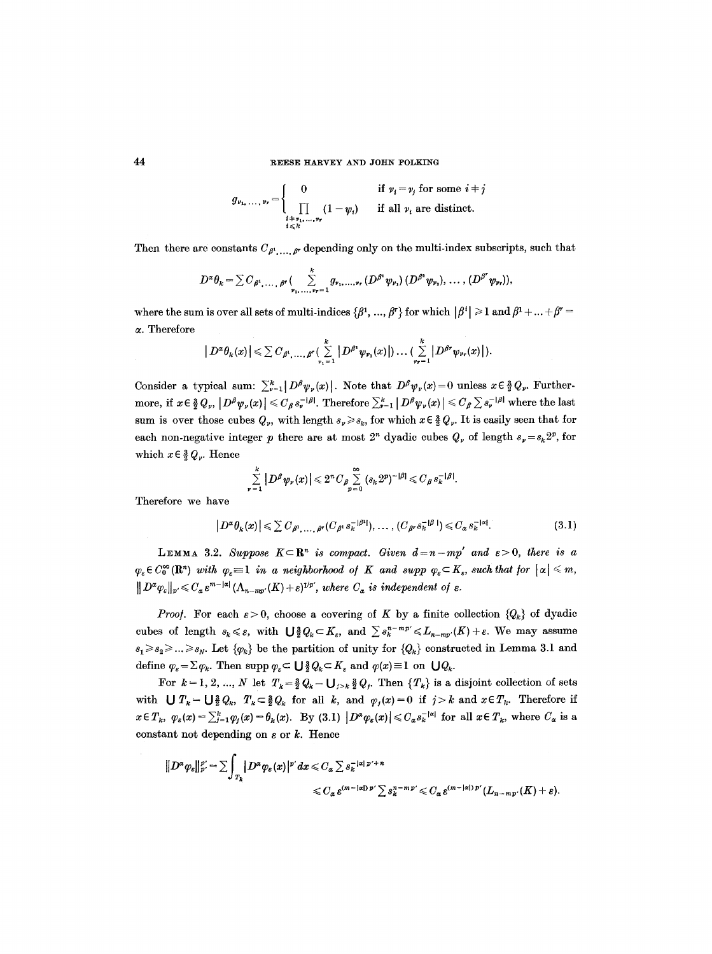$$
g_{\nu_1,\ldots,\nu_r} = \begin{cases} 0 & \text{if } \nu_i = \nu_j \text{ for some } i \neq j \\ \prod_{\substack{i=\nu_1,\ldots,\nu_r \\ i \leq k}} (1 - \psi_i) & \text{if all } \nu_i \text{ are distinct.} \end{cases}
$$

Then there are constants  $C_{\beta^1,\ldots,\beta^r}$  depending only on the multi-index subscripts, such that

$$
D^{\alpha} \theta_{k} = \sum C_{\beta^{1}, \dots, \beta^{r}} \left( \sum_{\nu_{1}, \dots, \nu_{r}=1}^{k} g_{\nu_{1}, \dots, \nu_{r}} \left( D^{\beta^{1}} \psi_{\nu_{1}} \right) \left( D^{\beta^{2}} \psi_{\nu_{2}} \right), \dots, \left( D^{\beta^{r}} \psi_{\nu_{r}} \right) \right),
$$

where the sum is over all sets of multi-indices  $\{\beta^1, ..., \beta^r\}$  for which  $|\beta^i| \geq 1$  and  $\beta^1 + ... + \beta^r =$ a. Therefore

$$
|D^{\alpha} \theta_k(x)| \leq \sum C_{\beta^1, \dots, \beta^r} (\sum_{\nu_1=1}^k |D^{\beta^1} \psi_{\nu_1}(x)|) \dots (\sum_{\nu_r=1}^k |D^{\beta^r} \psi_{\nu_r}(x)|).
$$

Consider a typical sum:  $\sum_{\nu=1}^{k} |D^{\beta}\psi_{\nu}(x)|$ . Note that  $D^{\beta}\psi_{\nu}(x) = 0$  unless  $x \in \frac{3}{2}Q_{\nu}$ . Furthermore, if  $x \in \frac{3}{2} Q_p$ ,  $|D^\beta \psi_\nu(x)| \leqslant C_\beta s_\nu^{-|\beta|}$ . Therefore  $\sum_{\nu=1}^k |D^\beta \psi_\nu(x)| \leqslant C_\beta \sum_{\nu=1} s_\nu^{-|\beta|}$  where the last sum is over those cubes  $Q_v$ , with length  $s_v \geq s_k$ , for which  $x \in \frac{3}{2}Q_v$ . It is easily seen that for each non-negative integer p there are at most  $2<sup>n</sup>$  dyadic cubes  $Q<sub>\nu</sub>$  of length  $s_{\nu} = s_{k} 2^{p}$ , for which  $x \in \frac{3}{2} Q_{\nu}$ . Hence

$$
\sum_{\nu=1}^k |D^\beta \psi_\nu(x)| \leq 2^n C_\beta \sum_{p=0}^\infty (s_k 2^p)^{-|\beta|} \leq C_\beta s_k^{-|\beta|}.
$$

Therefore we have

 $|D^{\alpha}\theta_k(x)| \leq \sum C_{\beta^1} \ldots \frac{\beta^r}{(C_{\beta^1} s_k^{-|\beta^1|})}, \ldots, (C_{\beta^r} s_k^{-|\beta^r|}) \leq C_{\alpha} s_k^{-|\alpha|}.$  (3.1)

LEMMA 3.2. Suppose  $K \subset \mathbb{R}^n$  is compact. Given  $d=n-mp'$  and  $\varepsilon > 0$ , there is a  $\varphi_{\varepsilon} \in C_0^{\infty}(\mathbb{R}^n)$  with  $\varphi_{\varepsilon} \equiv 1$  in a neighborhood of K and supp  $\varphi_{\varepsilon} \subset K_{\varepsilon}$ , such that for  $|\alpha| \leq m$ ,  $||D^{\alpha}\varphi_{\varepsilon}||_{p'} \leqslant C_{\alpha} \varepsilon^{m-|\alpha|} (\Lambda_{n-mp'}(K)+\varepsilon)^{1/p'}$ , where  $C_{\alpha}$  is independent of  $\varepsilon$ .

*Proof.* For each  $\varepsilon > 0$ , choose a covering of K by a finite collection  $\{Q_k\}$  of dyadic cubes of length  $s_k \leq \varepsilon$ , with  $\bigcup \frac{3}{2} Q_k \subset K_{\varepsilon}$ , and  $\sum s_k^{n-mp'} \leq L_{n-mp'}(K)+\varepsilon$ . We may assume  $s_1 \geq s_2 \geq \ldots \geq s_N$ . Let  $\{\varphi_k\}$  be the partition of unity for  $\{Q_k\}$  constructed in Lemma 3.1 and define  $\varphi_{\varepsilon} = \Sigma \varphi_k$ . Then supp  $\varphi_{\varepsilon} \subset \bigcup \frac{3}{2} Q_k \subset K_{\varepsilon}$  and  $\varphi(x) \equiv 1$  on  $\bigcup Q_k$ .

For  $k = 1, 2, ..., N$  let  $T_k = \frac{3}{2}Q_k - \bigcup_{j > k} \frac{3}{2}Q_j$ . Then  $\{T_k\}$  is a disjoint collection of sets with  $\bigcup T_k=\bigcup \frac{3}{2}Q_k$ ,  $T_k\subset \frac{3}{2}Q_k$  for all k, and  $\varphi_j(x)=0$  if  $j>k$  and  $x\in T_k$ . Therefore if  $x \in T_k$ ,  $\varphi_{\varepsilon}(x) = \sum_{j=1}^k \varphi_j(x) = \theta_k(x)$ . By (3.1)  $|D^{\alpha} \varphi_{\varepsilon}(x)| \leq C_{\alpha} s_k^{-|\alpha|}$  for all  $x \in T_k$ , where  $C_{\alpha}$  is a constant not depending on  $\varepsilon$  or  $k$ . Hence

$$
\|D^{\alpha}\varphi_{\varepsilon}\|_{p'}^{p'}=\sum\int_{T_k}|D^{\alpha}\varphi_{\varepsilon}(x)|^{p'}\,dx\leqslant C_{\alpha}\sum s_k^{-|\alpha| \,p'+n}\leqslant C_{\alpha}\,\varepsilon^{(m-|\alpha|)\,p'}\sum s_k^{n-m\,p'}\leqslant C_{\alpha}\,\varepsilon^{(m-|\alpha|)\,p'}(L_{n-m\,p'}(K)+\varepsilon).
$$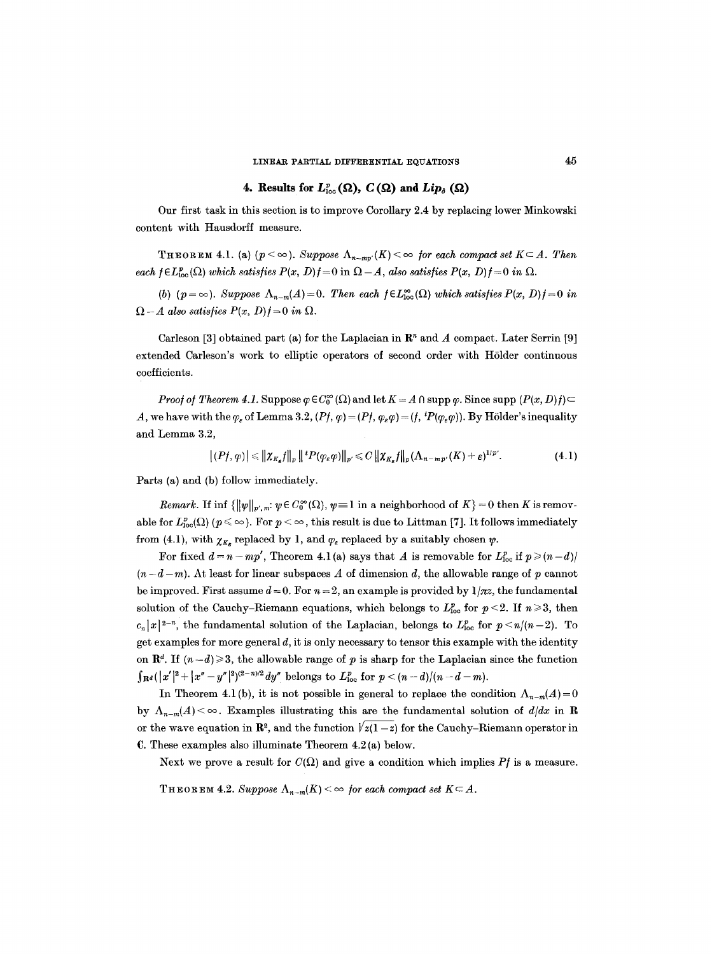# 4. Results for  $L_{loc}^p(\Omega)$ ,  $C(\Omega)$  and  $Lip_{\delta}(\Omega)$

Our first task in this section is to improve Corollary 2.4 by replacing lower Minkowski content with Hausdorff measure.

THEOREM 4.1. (a)  $(p < \infty)$ . Suppose  $\Lambda_{n-m}$   $(K) < \infty$  for each compact set  $K \subset A$ . Then *each*  $\mathfrak{f} \in L^p_{loc}(\Omega)$  which satisfies  $P(x, D)$  $\mathfrak{f} = 0$  in  $\Omega - A$ , also satisfies  $P(x, D)$  $\mathfrak{f} = 0$  in  $\Omega$ .

(b) ( $p = \infty$ ). *Suppose*  $\Lambda_{n-m}(A) = 0$ . Then each  $f \in L^{\infty}_{loc}(\Omega)$  which satisfies  $P(x, D)f = 0$  in  $\Omega - A$  also satisfies  $P(x, D) f = 0$  in  $\Omega$ .

Carleson [3] obtained part (a) for the Laplacian in  $\mathbb{R}^n$  and A compact. Later Serrin [9] extended Carleson's work to elliptic operators of second order with HSlder continuous coefficients.

*Proof of Theorem 4.1.* Suppose  $\varphi \in C_0^{\infty}(\Omega)$  and let  $K = A \cap \text{supp }\varphi$ . Since supp  $(P(x, D)f) \subset$ A, we have with the  $\varphi_{\varepsilon}$  of Lemma 3.2,  $(Pf, \varphi) = (Pf, \varphi_{\varepsilon} \varphi) = (f, {}^tP(\varphi_{\varepsilon} \varphi))$ . By Hölder's inequality and Lemma 3.2,

$$
|(Pf,\varphi)| \leq \|\chi_{K_{\varepsilon}}f\|_{p} \|{^tP(\varphi_{\varepsilon}\varphi)}\|_{p'} \leq C \|\chi_{K_{\varepsilon}}f\|_{p} (\Lambda_{n-mp'}(K)+\varepsilon)^{1/p'}.
$$
 (4.1)

Parts (a) and (b) follow immediately.

*Remark.* If inf  $\{\Vert \psi \Vert_{p',m}: \psi \in C_0^{\infty}(\Omega), \psi \equiv 1 \text{ in a neighborhood of } K \} = 0 \text{ then } K \text{ is removable}$ able for  $L^p_{loc}(\Omega)$  ( $p \leq \infty$ ). For  $p < \infty$ , this result is due to Littman [7]. It follows immediately from (4.1), with  $\chi_{K_{\kappa}}$  replaced by 1, and  $\varphi_{\varepsilon}$  replaced by a suitably chosen  $\psi$ .

For fixed  $d = n - mp'$ , Theorem 4.1(a) says that A is removable for  $L_{loc}^p$  if  $p \ge (n-d)/2$  $(n-d-m)$ . At least for linear subspaces A of dimension d, the allowable range of p cannot be improved. First assume  $d = 0$ . For  $n = 2$ , an example is provided by  $1/\pi z$ , the fundamental solution of the Cauchy-Riemann equations, which belongs to  $L_{\text{loc}}^p$  for  $p < 2$ . If  $n \geq 3$ , then  $c_n|x|^{2-n}$ , the fundamental solution of the Laplacian, belongs to  $L_{\text{loc}}^p$  for  $p \le n/(n-2)$ . To get examples for more general  $d$ , it is only necessary to tensor this example with the identity on  $\mathbb{R}^d$ . If  $(n-d) \geq 3$ , the allowable range of p is sharp for the Laplacian since the function  $\int_{\mathbf{R}^d} (|x'|^2 + |x'' - y''|^2)^{(2-n)/2} dy''$  belongs to  $L^p_{\text{loc}}$  for  $p < (n-d)/(n-d-m)$ .

In Theorem 4.1(b), it is not possible in general to replace the condition  $\Lambda_{n-m}(A)=0$ by  $\Lambda_{n-m}(A) < \infty$ . Examples illustrating this are the fundamental solution of  $d/dx$  in **R** or the wave equation in  $\mathbb{R}^2$ , and the function  $\sqrt{z(1-z)}$  for the Cauchy-Riemann operator in C. These examples also illuminate Theorem 4.2 (a) below.

Next we prove a result for  $C(\Omega)$  and give a condition which implies Pf is a measure.

THEOREM 4.2. *Suppose*  $\Lambda_{n-m}(K) < \infty$  *for each compact set*  $K \subset A$ .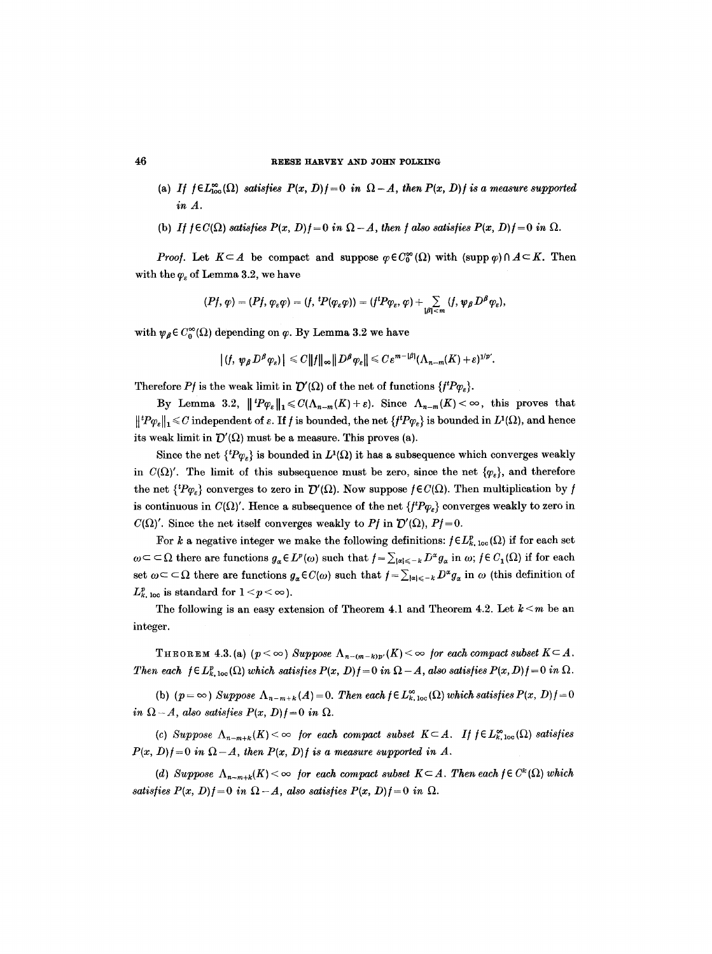- (a) *If*  $f \in L^{\infty}_{\text{loc}}(\Omega)$  *satisfies*  $P(x, D)f = 0$  *in*  $\Omega A$ , then  $P(x, D)f$  is a measure supported *in A.*
- (b) *If*  $f \in C(\Omega)$  satisfies  $P(x, D)f = 0$  in  $\Omega A$ , then f also satisfies  $P(x, D)f = 0$  in  $\Omega$ .

*Proof.* Let  $K \subseteq A$  be compact and suppose  $\varphi \in C_0^{\infty}(\Omega)$  with  $(\text{supp }\varphi) \cap A \subseteq K$ . Then with the  $\varphi_{\varepsilon}$  of Lemma 3.2, we have

$$
(Pf,\varphi)=(Pf,\varphi_\varepsilon\varphi)=(f,\,{}^t\!P(\varphi_\varepsilon\varphi))=(f^t\!P\varphi_\varepsilon,\varphi)+\sum_{|\beta|\leq m}\,(f,\psi_\beta\,D^\beta\varphi_\varepsilon),
$$

with  $\psi_{\beta} \in C_0^{\infty}(\Omega)$  depending on  $\varphi$ . By Lemma 3.2 we have

$$
|(f, \psi_{\beta} D^{\beta} \varphi_{\varepsilon})| \leq C ||f||_{\infty} ||D^{\beta} \varphi_{\varepsilon}|| \leq C \varepsilon^{m-|\beta|} (\Lambda_{n-m}(K)+\varepsilon)^{1/p'}.
$$

Therefore *Pf* is the weak limit in  $\mathcal{D}'(\Omega)$  of the net of functions  ${f^{\mu}P_{\varphi_{\varepsilon}}}$ .

By Lemma 3.2,  $||^{t}P_{\varphi_{\varepsilon}}||_{1} \leq C(\Lambda_{n-m}(K) + \varepsilon)$ . Since  $\Lambda_{n-m}(K) < \infty$ , this proves that  $||^{t}P\varphi_{\varepsilon}||_{1} \leq C$  independent of  $\varepsilon$ . If f is bounded, the net  $\{f^{t}P\varphi_{\varepsilon}\}\$ is bounded in  $L^{1}(\Omega)$ , and hence its weak limit in  $\mathcal{D}'(\Omega)$  must be a measure. This proves (a).

Since the net  ${^{t}P\varphi_{e}}$  is bounded in  $L^{1}(\Omega)$  it has a subsequence which converges weakly in  $C(\Omega)'$ . The limit of this subsequence must be zero, since the net  $\{\varphi_{\varepsilon}\}\)$ , and therefore the net  ${f^tP\varphi_{\varepsilon}}$  converges to zero in  $\mathcal{D}'(\Omega)$ . Now suppose  $f\in C(\Omega)$ . Then multiplication by f is continuous in  $C(\Omega)'$ . Hence a subsequence of the net  $\{f^{\dagger}P\varphi_{\epsilon}\}$  converges weakly to zero in  $C(\Omega)'$ . Since the net itself converges weakly to Pf in  $\mathcal{D}'(\Omega)$ , Pf=0.

For k a negative integer we make the following definitions:  $f \in L_{k,loc}^{p}(\Omega)$  if for each set  $\omega \subset \subset \Omega$  there are functions  $g_{\alpha} \in L^p(\omega)$  such that  $f = \sum_{|\alpha| \leq -k} D^{\alpha} g_{\alpha}$  in  $\omega$ ;  $f \in C_1(\Omega)$  if for each set  $\omega \subset \subset \Omega$  there are functions  $g_{\alpha} \in C(\omega)$  such that  $f = \sum_{|\alpha| \leq -k} D^{\alpha} g_{\alpha}$  in  $\omega$  (this definition of  $L_{k,\text{loc}}^p$  is standard for  $1 \leq p \leq \infty$ ).

The following is an easy extension of Theorem 4.1 and Theorem 4.2. Let  $k < m$  be an integer.

THEOREM 4.3. (a)  $(p < \infty)$  *Suppose*  $\Lambda_{n-(m-k)p'}(K) < \infty$  for each compact subset  $K \subseteq A$ . *Then each*  $f \in L_{k, \text{loc}}^p(\Omega)$  *which satisfies*  $P(x, D) f = 0$  in  $\Omega - A$ , also satisfies  $P(x, D) f = 0$  in  $\Omega$ .

(b)  $(p = \infty)$  Suppose  $\Lambda_{n-m+k}(A) = 0$ . Then each  $f \in L^{\infty}_{k,loc}(\Omega)$  which satisfies  $P(x, D)f = 0$ *in*  $\Omega - A$ , also satisfies  $P(x, D)f = 0$  in  $\Omega$ .

(c) Suppose  $\Lambda_{n-m+k}(K) < \infty$  *for each compact subset*  $K \subset A$ . If  $f \in L^{\infty}_{k,loc}(\Omega)$  satisfies  $P(x, D)f = 0$  in  $\Omega - A$ , then  $P(x, D)f$  is a measure supported in A.

*(d) Suppose*  $\Lambda_{n-m+k}(K) < \infty$  *for each compact subset*  $K \subset A$ . Then each  $f \in C^k(\Omega)$  which *satisfies*  $P(x, D)$  $= 0$  *in*  $\Omega - A$ *, also satisfies*  $P(x, D)$  $= 0$  *in*  $\Omega$ *.*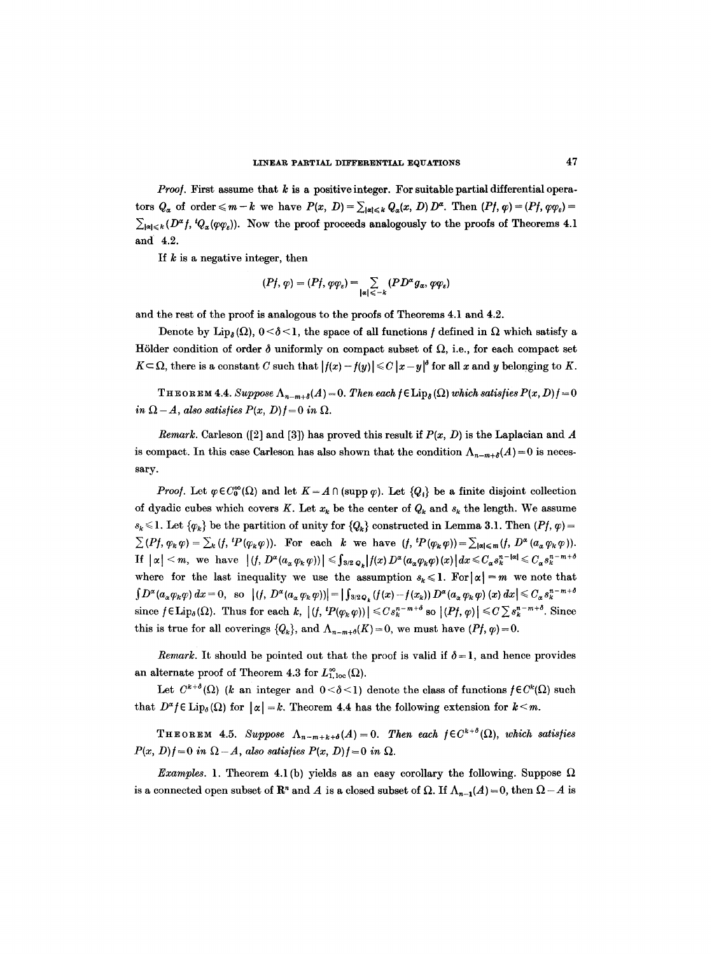*Proof.* First assume that k is a positive integer. For suitable partial differential operators  $Q_{\alpha}$  of order  $\leqslant m-k$  we have  $P(x, D) = \sum_{|\alpha| \leqslant k} Q_{\alpha}(x, D) D^{\alpha}$ . Then  $(Pf, \varphi) = (Pf, \varphi \varphi_{\varepsilon}) =$  $\sum_{|\alpha| \leq k} (D^{\alpha} f, {}^tQ_{\alpha}(\varphi \varphi_{\epsilon}))$ . Now the proof proceeds analogously to the proofs of Theorems 4.1 and 4.2.

If  $k$  is a negative integer, then

$$
(Pf,\varphi)=(Pf,\varphi\varphi_{\varepsilon})=\sum_{|\alpha|\leq -k}(PD^{\alpha}g_{\alpha},\varphi\varphi_{\varepsilon})
$$

and the rest of the proof is analogous to the proofs of Theorems 4.1 and 4.2.

Denote by Lip<sub>s</sub> ( $\Omega$ ),  $0 < \delta < 1$ , the space of all functions f defined in  $\Omega$  which satisfy a Hölder condition of order  $\delta$  uniformly on compact subset of  $\Omega$ , i.e., for each compact set  $K \subset \Omega$ , there is a constant C such that  $|f(x) - f(y)| \le C |x - y|^\delta$  for all x and y belonging to K.

THEOREM 4.4. *Suppose*  $\Lambda_{n-m+\delta}(A) = 0$ . Then each  $f \in \text{Lip}_{\delta}(\Omega)$  which satisfies  $P(x, D)f = 0$ *in*  $\Omega - A$ , also satisfies  $P(x, D) f = 0$  in  $\Omega$ .

*Remark.* Carleson ([2] and [3]) has proved this result if  $P(x, D)$  is the Laplacian and A is compact. In this case Carleson has also shown that the condition  $\Lambda_{n-m+\delta}(A)=0$  is necessary.

*Proof.* Let  $\varphi \in C_0^{\infty}(\Omega)$  and let  $K = A \cap (\text{supp }\varphi)$ . Let  $\{Q_i\}$  be a finite disjoint collection of dyadic cubes which covers K. Let  $x_k$  be the center of  $Q_k$  and  $s_k$  the length. We assume  $s_k \leq 1$ . Let  $\{\varphi_k\}$  be the partition of unity for  $\{Q_k\}$  constructed in Lemma 3.1. Then  $(Pf, \varphi)$  =  $\sum (Pf, \varphi_k \varphi) = \sum_k (f, {}^tP(\varphi_k \varphi))$ . For each k we have  $(f, {}^tP(\varphi_k \varphi)) = \sum_{|\alpha| \leq m} (f, D^{\alpha}(a_{\alpha}\varphi_k \varphi))$ .  $\text{If } |\alpha| < m, \text{ we have } |(f, D^{\alpha}(a_{\alpha}\varphi_k \varphi))| \leqslant \int_{3/2} \frac{1}{Q_k} |f(x) D^{\alpha}(a_{\alpha}\varphi_k \varphi)(x)| dx \leqslant C_{\alpha}s_k^{n-|\alpha|} \leqslant C_{\alpha}s_k^{n-m+\delta}$ where for the last inequality we use the assumption  $s_k \leq 1$ . For  $|\alpha| = m$  we note that  $\int D^{\alpha}(a_{\alpha}\varphi_k\varphi) dx = 0$ , so  $|(f, D^{\alpha}(a_{\alpha}\varphi_k\varphi))| = |\int_{3/2Q_k}(f(x)-f(x_k))D^{\alpha}(a_{\alpha}\varphi_k\varphi)(x) dx| \leq C_{\alpha}s_k^{n-m+\delta}$ since  $f \in \text{Lip}_{\delta}(\Omega)$ . Thus for each k,  $|(f, {}^tP(\varphi_k \varphi))| \leqslant Cs_k^{n-m+\delta}$  so  $|(Pf, \varphi)| \leqslant C \sum s_k^{n-m+\delta}$ . Since this is true for all coverings  $\{Q_k\}$ , and  $\Lambda_{n-m+1}(K)=0$ , we must have  $(Pf, \varphi)=0$ .

*Remark.* It should be pointed out that the proof is valid if  $\delta = 1$ , and hence provides an alternate proof of Theorem 4.3 for  $L^{\infty}_{1,loc}(\Omega)$ .

Let  $C^{k+\delta}(\Omega)$  (k an integer and  $0<\delta<1$ ) denote the class of functions  $f\in C^k(\Omega)$  such that  $D^{\alpha} f \in \text{Lip}_{\delta}(\Omega)$  for  $|\alpha| = k$ . Theorem 4.4 has the following extension for  $k \leq m$ .

THEOREM 4.5. *Suppose*  $\Lambda_{n-m+k+\delta}(A)=0$ . Then each  $f \in C^{k+\delta}(\Omega)$ , which satisfies  $P(x, D)f = 0$  *in*  $\Omega - A$ , also satisfies  $P(x, D)f = 0$  *in*  $\Omega$ .

*Examples.* 1. Theorem 4.1(b) yields as an easy corollary the following. Suppose  $\Omega$ is a connected open subset of  $\mathbb{R}^n$  and A is a closed subset of  $\Omega$ . If  $\Lambda_{n-1}(A) = 0$ , then  $\Omega - A$  is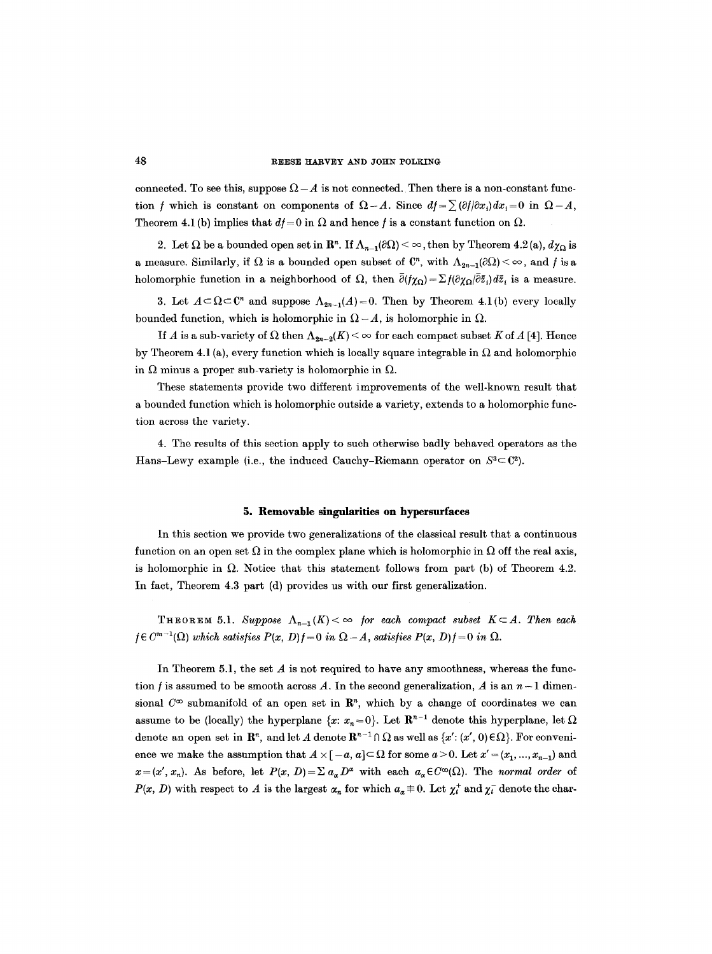connected. To see this, suppose  $\Omega - A$  is not connected. Then there is a non-constant function *f* which is constant on components of  $\Omega - A$ . Since  $df = \sum (\partial f/\partial x_i) dx_i = 0$  in  $\Omega - A$ , Theorem 4.1 (b) implies that  $df = 0$  in  $\Omega$  and hence f is a constant function on  $\Omega$ .

2. Let  $\Omega$  be a bounded open set in  $\mathbb{R}^n$ . If  $\Lambda_{n-1}(\partial\Omega) < \infty$ , then by Theorem 4.2(a),  $d\chi_{\Omega}$  is a measure. Similarly, if  $\Omega$  is a bounded open subset of  $\mathbb{C}^n$ , with  $\Lambda_{2n-1}(\partial\Omega) < \infty$ , and f is a holomorphic function in a neighborhood of  $\Omega$ , then  $\bar{\partial}$ ( $\gamma_{\Omega}$ )= $\sum f(\partial \gamma_{\Omega}/\bar{\partial}\bar{z}_i)d\bar{z}_i$  is a measure.

3. Let  $A \subset \Omega \subset \mathbb{C}^n$  and suppose  $\Lambda_{2n-1}(A) = 0$ . Then by Theorem 4.1(b) every locally bounded function, which is holomorphic in  $\Omega - A$ , is holomorphic in  $\Omega$ .

If A is a sub-variety of  $\Omega$  then  $\Lambda_{2n-2}(K) < \infty$  for each compact subset K of A [4]. Hence by Theorem 4.1 (a), every function which is locally square integrable in  $\Omega$  and holomorphic in  $\Omega$  minus a proper sub-variety is holomorphic in  $\Omega$ .

These statements provide two different improvements of the well-known result that a bounded function which is holomorphic outside a variety, extends to a holomorphic function across the variety.

4. The results of this section apply to such otherwise badly behaved operators as the Hans-Lewy example (i.e., the induced Cauchy-Riemann operator on  $S^3 \subset \mathbb{C}^2$ ).

#### **5. Removable singularities on hypersurfaces**

In this section we provide two generalizations of the classical result that a continuous function on an open set  $\Omega$  in the complex plane which is holomorphic in  $\Omega$  off the real axis, is holomorphic in  $\Omega$ . Notice that this statement follows from part (b) of Theorem 4.2. In fact, Theorem 4.3 part (d) provides us with our first generalization.

THEOREM 5.1. Suppose  $\Lambda_{n-1}(K) < \infty$  for each compact subset  $K \subset A$ . Then each  $f \in C^{m-1}(\Omega)$  *which satisfies*  $P(x, D)f = 0$  *in*  $\Omega - A$ *, satisfies*  $P(x, D)f = 0$  *in*  $\Omega$ *.* 

In Theorem 5.1, the set  $A$  is not required to have any smoothness, whereas the function f is assumed to be smooth across A. In the second generalization, A is an  $n-1$  dimensional  $C^{\infty}$  submanifold of an open set in  $\mathbb{R}^n$ , which by a change of coordinates we can assume to be (locally) the hyperplane  $\{x: x_n = 0\}$ . Let  $\mathbb{R}^{n-1}$  denote this hyperplane, let  $\Omega$ denote an open set in  $\mathbb{R}^n$ , and let A denote  $\mathbb{R}^{n-1} \cap \Omega$  as well as  $\{x': (x', 0) \in \Omega\}$ . For convenience we make the assumption that  $A \times [-a, a] \subset \Omega$  for some  $a > 0$ . Let  $x' = (x_1, ..., x_{n-1})$  and  $x=(x', x_n)$ . As before, let  $P(x, D)=\sum a_x D^x$  with each  $a_x \in C^{\infty}(\Omega)$ . The *normal order* of  $P(x, D)$  with respect to A is the largest  $\alpha_n$  for which  $a_{\alpha} \not\equiv 0$ . Let  $\chi_i^*$  and  $\chi_i^-$  denote the char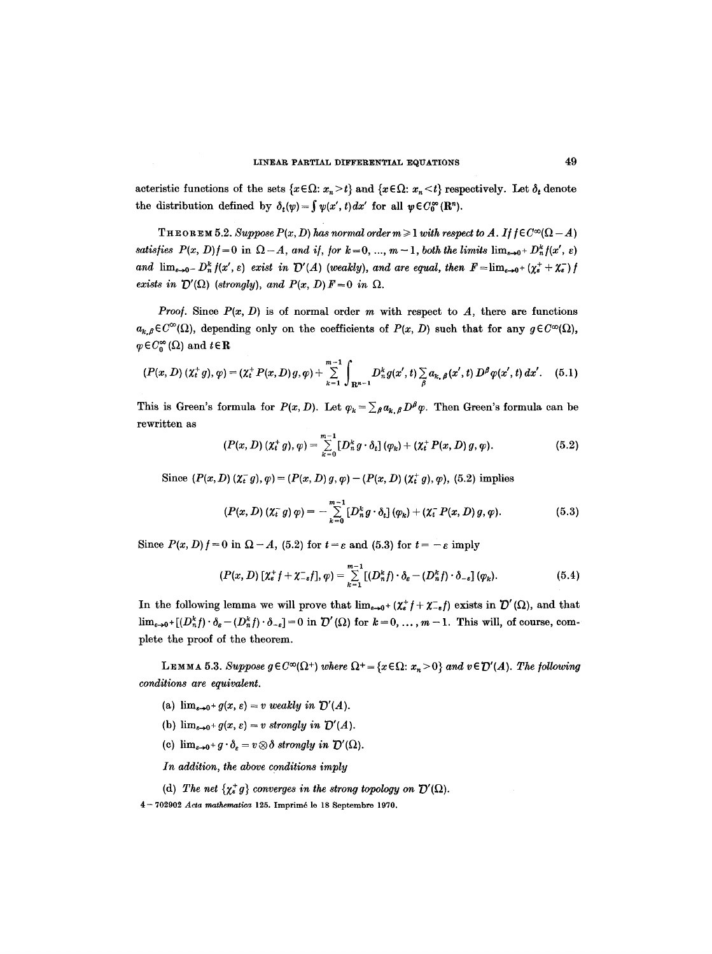acteristic functions of the sets  $\{x \in \Omega: x_n \geq t\}$  and  $\{x \in \Omega: x_n \leq t\}$  respectively. Let  $\delta_t$  denote the distribution defined by  $\delta_t(\psi) = \int \psi(x', t) dx'$  for all  $\psi \in C_0^{\infty}(\mathbb{R}^n)$ .

**THEOREM 5.2.** Suppose  $P(x, D)$  has normal order  $m \geq 1$  with respect to A. If  $f \in C^{\infty}(\Omega - A)$ *satisfies*  $P(x, D)f = 0$  in  $\Omega - A$ , and if, for  $k = 0, ..., m - 1$ , both the limits  $\lim_{\varepsilon \to 0^+} D_n^k f(x', \varepsilon)$ and  $\lim_{\varepsilon\to 0^-} D_n^k f(x', \varepsilon)$  exist in  $\mathcal{D}'(A)$  (weakly), and are equal, then  $F = \lim_{\varepsilon\to 0^+} (\chi_\varepsilon^+ + \chi_\varepsilon^-) f(x')$ *exists in*  $\mathcal{D}'(\Omega)$  *(strongly), and*  $P(x, D)F=0$  *in*  $\Omega$ *.* 

*Proof.* Since  $P(x, D)$  is of normal order m with respect to A, there are functions  $a_{k,\beta} \in C^{\infty}(\Omega)$ , depending only on the coefficients of  $P(x, D)$  such that for any  $g \in C^{\infty}(\Omega)$ ,  $\varphi \in C_0^{\infty}(\Omega)$  and  $t \in \mathbb{R}$ 

$$
(P(x, D) \, (\chi_t^+ g), \varphi) = (\chi_t^+ P(x, D) \, g, \varphi) + \sum_{k=1}^{m-1} \int_{\mathbf{R}^{n-1}} D_n^k g(x', t) \sum_{\beta} a_{k, \beta}(x', t) \, D^{\beta} \varphi(x', t) \, dx'. \tag{5.1}
$$

This is Green's formula for  $P(x, D)$ . Let  $\varphi_k = \sum_{\beta} a_{k,\beta} D^{\beta} \varphi$ . Then Green's formula can be rewritten as

$$
(P(x, D) (\chi_t^+ g), \varphi) = \sum_{k=0}^{m-1} [D_n^k g \cdot \delta_t] (\varphi_k) + (\chi_t^+ P(x, D) g, \varphi).
$$
 (5.2)

Since  $(P(x, D)$   $(\chi_t^{-} g)$ ,  $\varphi) = (P(x, D) g, \varphi) - (P(x, D) (\chi_t^{+} g), \varphi)$ , (5.2) implies

$$
(P(x, D) \left(\chi_t^{-} g\right) \varphi) = - \sum_{k=0}^{m-1} \left[D_n^k g \cdot \delta_t\right] (\varphi_k) + \left(\chi_t^{-} P(x, D) g, \varphi\right). \tag{5.3}
$$

Since  $P(x, D) f = 0$  in  $\Omega - A$ , (5.2) for  $t = \varepsilon$  and (5.3) for  $t = -\varepsilon$  imply

$$
(P(x, D) \left[ \chi_{\varepsilon}^+ f + \chi_{-\varepsilon}^- f \right], \varphi) = \sum_{k=1}^{m-1} \left[ (D_n^k f) \cdot \delta_{\varepsilon} - (D_n^k f) \cdot \delta_{-\varepsilon} \right] (\varphi_k).
$$
 (5.4)

In the following lemma we will prove that  $\lim_{\varepsilon\to 0^+} (\chi_\varepsilon^+ f + \chi_{-\varepsilon}^- f)$  exists in  $\mathcal{D}'(\Omega)$ , and that  $\lim_{\varepsilon \to 0^+} [(D_n^k f) \cdot \delta_{\varepsilon} - (D_n^k f) \cdot \delta_{-\varepsilon}] = 0$  in  $\mathcal{D}'(\Omega)$  for  $k = 0, \ldots, m - 1$ . This will, of course, complete the proof of the theorem.

LEMMA 5.3. Suppose  $g \in C^{\infty}(\Omega^+)$  where  $\Omega^+ = \{x \in \Omega: x_n > 0\}$  and  $v \in \mathcal{D}'(A)$ . The following *conditions are equivalent.* 

- (a)  $\lim_{\varepsilon \to 0^+} g(x, \varepsilon) = v$  weakly in  $\mathcal{D}'(A)$ .
- (b)  $\lim_{\varepsilon \to 0^+} g(x, \varepsilon) = v$  strongly in  $\mathcal{D}'(A)$ .
- (c)  $\lim_{\varepsilon \to 0^+} g \cdot \delta_{\varepsilon} = v \otimes \delta$  strongly in  $\mathcal{D}'(\Omega)$ .

*In addition, the above conditions imply* 

(d) The net  $\{\chi_e^+ g\}$  converges in the strong topology on  $\mathcal{D}'(\Omega)$ .

4-702902 *Acta mathematica* 125. Imprimé le 18 Septembre 1970.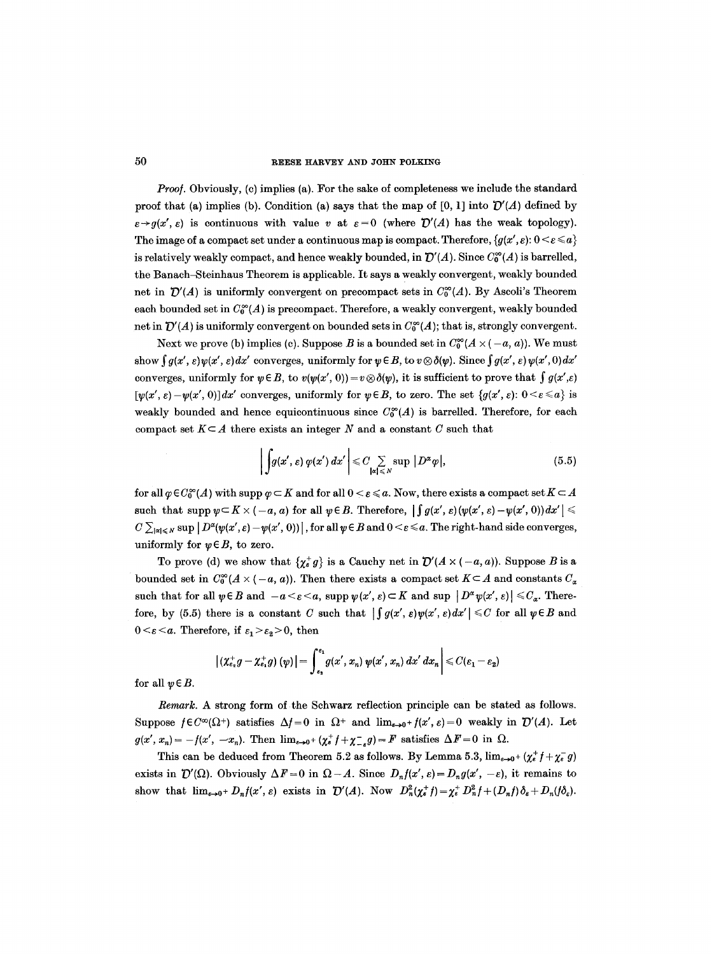*Proof.* Obviously, (c) implies (a). For the sake of completeness we include the standard proof that (a) implies (b). Condition (a) says that the map of  $[0, 1]$  into  $\mathcal{D}'(A)$  defined by  $\varepsilon \rightarrow q(x', \varepsilon)$  is continuous with value v at  $\varepsilon = 0$  (where  $\mathcal{D}'(A)$  has the weak topology). The image of a compact set under a continuous map is compact. Therefore,  $\{g(x',\varepsilon): 0 \leq \varepsilon \leq a\}$ is relatively weakly compact, and hence weakly bounded, in  $\mathcal{D}'(A)$ . Since  $C_0^{\infty}(A)$  is barrelled, the Banach~Steinhaus Theorem is applicable. It says a weakly convergent, weakly bounded net in  $\mathcal{D}'(A)$  is uniformly convergent on precompact sets in  $C_0^{\infty}(A)$ . By Ascoli's Theorem each bounded set in  $C_0^{\infty}(A)$  is precompact. Therefore, a weakly convergent, weakly bounded net in  $\mathcal{D}'(A)$  is uniformly convergent on bounded sets in  $C_0^{\infty}(A)$ ; that is, strongly convergent.

Next we prove (b) implies (c). Suppose B is a bounded set in  $C_0^{\infty}(A \times (-a, a))$ . We must show  $\int g(x', \varepsilon) \psi(x', \varepsilon) dx'$  converges, uniformly for  $\psi \in B$ , to  $v \otimes \delta(\psi)$ . Since  $\int g(x', \varepsilon) \psi(x', 0) dx'$ converges, uniformly for  $\psi \in B$ , to  $v(\psi(x', 0)) = v \otimes \delta(\psi)$ , it is sufficient to prove that  $\int g(x', \varepsilon)$  $[\psi(x', \varepsilon)-\psi(x', 0)]dx'$  converges, uniformly for  $\psi \in B$ , to zero. The set  $\{g(x', \varepsilon): 0 \le \varepsilon \le a\}$  is weakly bounded and hence equicontinuous since  $C_0^{\infty}(A)$  is barrelled. Therefore, for each compact set  $K \subseteq A$  there exists an integer N and a constant C such that

$$
\left| \int g(x',\varepsilon) \, \varphi(x') \, dx' \right| \leq C \sum_{|\alpha| \leq N} \sup |D^{\alpha} \varphi|, \tag{5.5}
$$

for all  $\varphi \in C_0^{\infty}(A)$  with supp  $\varphi \subset K$  and for all  $0 < \varepsilon \leq a$ . Now, there exists a compact set  $K \subset A$ such that supp  $\psi \subset K \times (-a, a)$  for all  $\psi \in B$ . Therefore,  $\iint g(x', \varepsilon)(\psi(x', \varepsilon) - \psi(x', 0))dx'$  $C \sum_{|\alpha| \leq N} \sup |D^{\alpha}(p(x', \varepsilon) - p(x', 0))|$ , for all  $\psi \in B$  and  $0 \leq \varepsilon \leq a$ . The right-hand side converges, uniformly for  $\psi \in B$ , to zero.

To prove (d) we show that  $\{ \chi_s^* g \}$  is a Cauchy net in  $\mathcal{D}'(A \times (-a, a))$ . Suppose B is a bounded set in  $C_0^{\infty}(A \times (-a, a))$ . Then there exists a compact set  $K \subseteq A$  and constants  $C_{\alpha}$ such that for all  $\psi \in B$  and  $-a \leq \varepsilon \leq a$ , supp  $\psi(x', \varepsilon) \subset K$  and sup  $|D^{\alpha} \psi(x', \varepsilon)| \leq C_{\alpha}$ . Therefore, by (5.5) there is a constant C such that  $\int \int g(x', \varepsilon) \psi(x', \varepsilon) dx' \leq C$  for all  $\psi \in B$  and  $0 \leq \varepsilon \leq a$ . Therefore, if  $\varepsilon_1 \geq \varepsilon_2 \geq 0$ , then

$$
\left| \left( \chi_{\varepsilon_2}^+ g - \chi_{\varepsilon_1}^+ g \right) (\psi) \right| = \int_{\varepsilon_2}^{\varepsilon_1} g(x', x_n) \, \psi(x', x_n) \, dx' \, dx_n \bigg| \leqslant C(\varepsilon_1 - \varepsilon_2)
$$

for all  $\psi \in B$ .

*Remark.* A strong form of the Schwarz reflection principle can be stated as follows. Suppose  $f \in C^{\infty}(\Omega^+)$  satisfies  $\Delta f = 0$  in  $\Omega^+$  and  $\lim_{\epsilon \to 0^+} f(x', \epsilon) = 0$  weakly in  $\mathcal{D}'(A)$ . Let  $g(x', x_n) = -f(x', -x_n)$ . Then  $\lim_{\varepsilon \to 0^+} (\chi_{\varepsilon}^+ f + \chi_{-\varepsilon}^- g) = F$  satisfies  $\Delta F = 0$  in  $\Omega$ .

This can be deduced from Theorem 5.2 as follows. By Lemma 5.3,  $\lim_{\epsilon \to 0^+} (\chi_{\epsilon}^* f + \chi_{\epsilon}^- g)$ exists in  $\mathcal{D}'(\Omega)$ . Obviously  $\Delta F=0$  in  $\Omega-A$ . Since  $D_n f(x', \varepsilon)=D_n g(x', -\varepsilon)$ , it remains to show that  $\lim_{\epsilon \to 0^+} D_n f(x', \epsilon)$  exists in  $\mathcal{D}'(A)$ . Now  $D_n^2(\chi_{\epsilon}^* f) = \chi_{\epsilon}^* D_n^2 f + (D_n f) \delta_{\epsilon} + D_n (f \delta_{\epsilon})$ .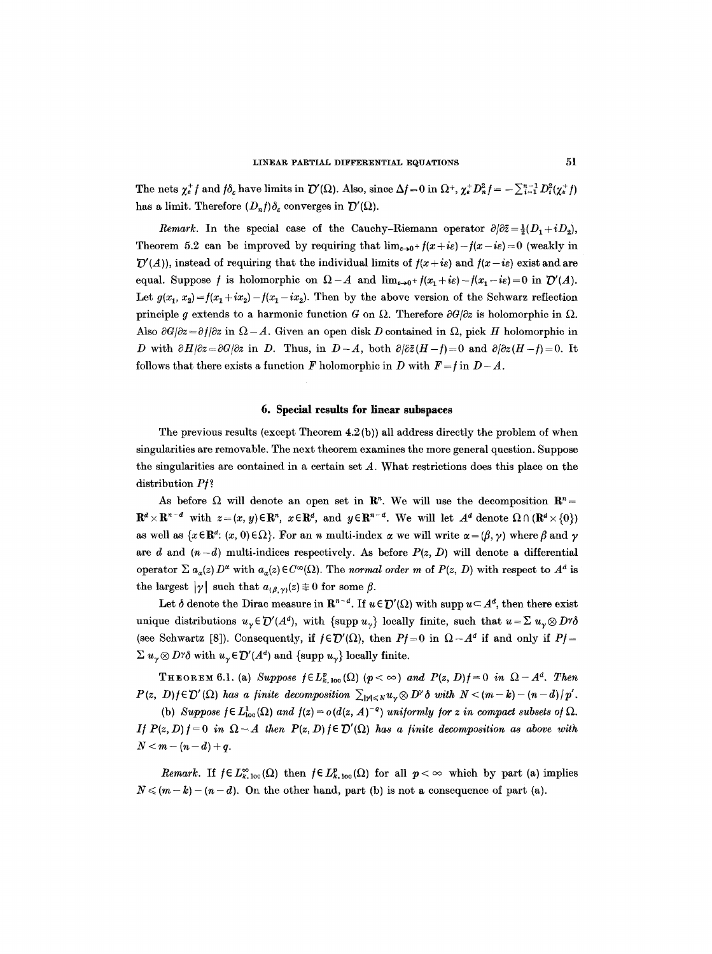The nets  $\chi_e^+$  f and  $f\delta_e$  have limits in  $\mathcal{D}'(\Omega)$ . Also, since  $\Delta f=0$  in  $\Omega^+$ ,  $\chi_e^+D_n^2f=-\sum_{i=1}^{n-1}D_i^2(\chi_e^+f)$ has a limit. Therefore  $(D_n f) \delta_{\varepsilon}$  converges in  $\mathcal{D}'(\Omega)$ .

*Remark.* In the special case of the Cauchy-Riemann operator  $\partial/\partial \overline{z} = \frac{1}{2}(D_1 + iD_2)$ . Theorem 5.2 can be improved by requiring that  $\lim_{\epsilon \to 0^+} f(x + i\epsilon) - f(x - i\epsilon) = 0$  (weakly in  $\mathcal{D}'(A)$ ), instead of requiring that the individual limits of  $f(x + i\epsilon)$  and  $f(x - i\epsilon)$  exist and are equal. Suppose f is holomorphic on  $\Omega - A$  and  $\lim_{\epsilon \to 0^+} f(x_1 + i\epsilon) - f(x_1 - i\epsilon) = 0$  in  $\mathcal{D}'(A)$ . Let  $g(x_1, x_2) = f(x_1 + ix_2) - f(x_1 - ix_2)$ . Then by the above version of the Schwarz reflection principle g extends to a harmonic function G on  $\Omega$ . Therefore  $\partial G/\partial z$  is holomorphic in  $\Omega$ . Also  $\partial G/\partial z = \partial f/\partial z$  in  $\Omega - A$ . Given an open disk D contained in  $\Omega$ , pick H holomorphic in D with  $\partial H/\partial z=\partial G/\partial z$  in D. Thus, in  $D-A$ , both  $\partial/\partial \bar{z}(H-f)=0$  and  $\partial/\partial z(H-f)=0$ . It follows that there exists a function F holomorphic in D with  $F = f$  in  $D - A$ .

#### **6. Special results for linear subspaces**

The previous results (except Theorem  $4.2(b)$ ) all address directly the problem of when singularities are removable. The next theorem examines the more general question. Suppose the singularities are contained in a certain set  $A$ . What restrictions does this place on the distribution *P/?* 

As before  $\Omega$  will denote an open set in  $\mathbb{R}^n$ . We will use the decomposition  $\mathbb{R}^n=$  $\mathbf{R}^d \times \mathbf{R}^{n-d}$  with  $z=(x,y) \in \mathbf{R}^n$ ,  $x \in \mathbf{R}^d$ , and  $y \in \mathbf{R}^{n-d}$ . We will let  $A^d$  denote  $\Omega \cap (\mathbf{R}^d \times \{0\})$ as well as  $\{x \in \mathbb{R}^d: (x, 0) \in \Omega\}$ . For an n multi-index  $\alpha$  we will write  $\alpha = (\beta, \gamma)$  where  $\beta$  and  $\gamma$ are d and  $(n-d)$  multi-indices respectively. As before  $P(z, D)$  will denote a differential operator  $\sum a_{\alpha}(z) D^{\alpha}$  with  $a_{\alpha}(z) \in C^{\infty}(\Omega)$ . The *normal order m* of  $P(z, D)$  with respect to  $A^d$  is the largest  $|\gamma|$  such that  $a_{(\beta,\gamma)}(z) \not\equiv 0$  for some  $\beta$ .

Let  $\delta$  denote the Dirac measure in  $\mathbb{R}^{n-d}$ . If  $u \in \mathcal{D}'(\Omega)$  with supp  $u \subset A^d$ , then there exist unique distributions  $u_v \in \mathcal{D}'(A^d)$ , with {supp  $u_v$ } locally finite, such that  $u = \sum u_v \otimes D^{\gamma} \delta$ (see Schwartz [8]). Consequently, if  $f \in \mathcal{D}'(\Omega)$ , then  $Pf=0$  in  $\Omega - A^d$  if and only if  $Pf=$  $\Sigma u_{\gamma} \otimes D^{\gamma} \delta$  with  $u_{\gamma} \in \mathcal{D}'(A^d)$  and {supp  $u_{\gamma}$ } locally finite.

THEOREM 6.1. (a) Suppose  $f \in L_{k, loc}^p(\Omega)$   $(p < \infty)$  and  $P(z, D)f = 0$  in  $\Omega - A^d$ . Then  $P(z, D) f \in \mathcal{D}'(\Omega)$  has a finite decomposition  $\sum_{|\mathcal{V}| \leq N} u_{\mathcal{V}} \otimes D^{\mathcal{V}} \delta$  with  $N < (m-k) - (n-d)/p'$ .

(b) *Suppose*  $f \in L^1_{loc}(\Omega)$  *and*  $f(z) = o(d(z, A)^{-q})$  *uniformly for z in compact subsets of*  $\Omega$ . *If*  $P(z, D) f = 0$  in  $\Omega - A$  then  $P(z, D) f \in \mathcal{D}'(\Omega)$  has a finite decomposition as above with  $N < m - (n-d) + q$ .

*Remark.* If  $f \in L_{k,loc}^{\infty}(\Omega)$  then  $f \in L_{k,loc}^p(\Omega)$  for all  $p < \infty$  which by part (a) implies  $N \leq (m-k)-(n-d)$ . On the other hand, part (b) is not a consequence of part (a).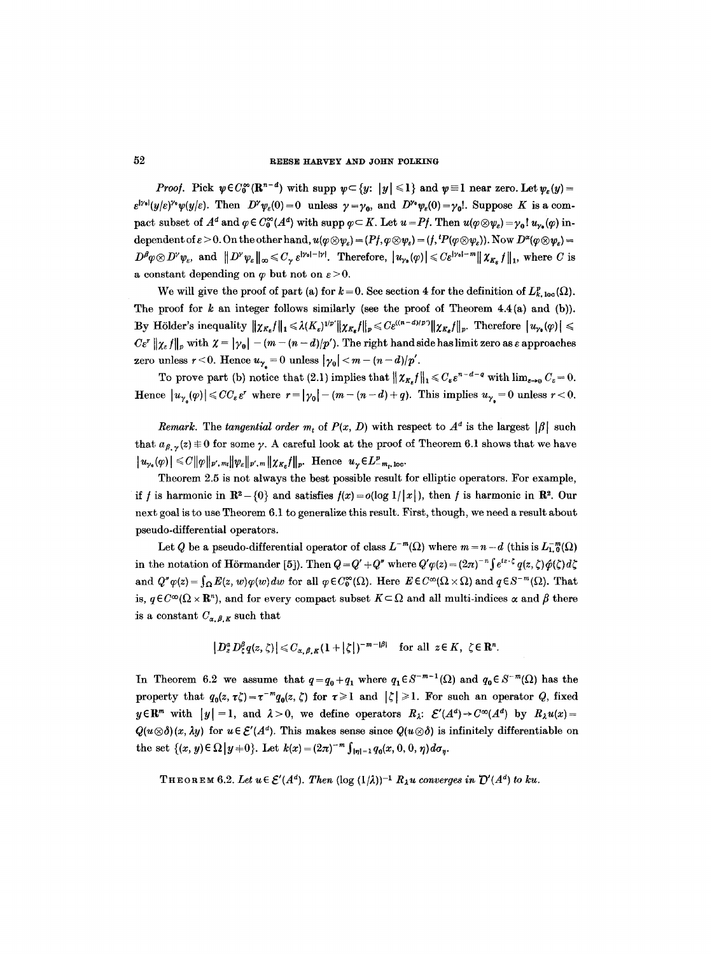*Proof.* Pick  $\psi \in C_0^{\infty}(\mathbb{R}^{n-d})$  with supp  $\psi \subset \{y: |y| \leq 1\}$  and  $\psi \equiv 1$  near zero. Let  $\psi_{\varepsilon}(y)$  =  $\varepsilon^{|\gamma_0|}(y/\varepsilon)^{\gamma_0}\psi(y/\varepsilon)$ . Then  $D^{\gamma}\psi_{\varepsilon}(0)=0$  unless  $\gamma=\gamma_0$ , and  $D^{\gamma_0}\psi_{\varepsilon}(0)=\gamma_0!$ . Suppose K is a compact subset of  $A^d$  and  $\varphi \in C_0^{\infty}(A^d)$  with supp  $\varphi \subset K$ . Let  $u = Pf$ . Then  $u(\varphi \otimes \psi_{\varepsilon}) = \gamma_0! u_{\nu_{\varepsilon}}(\varphi)$  independent of  $\varepsilon > 0$ . On the other hand,  $u(\varphi \otimes \psi_{\varepsilon}) = (Pf, \varphi \otimes \psi_{\varepsilon}) = (f, {}^tP(\varphi \otimes \psi_{\varepsilon}))$ . Now  $D^{\alpha}(\varphi \otimes \psi_{\varepsilon}) =$  $D^{\beta} \varphi \otimes D^{\gamma} \psi_{\varepsilon}$ , and  $||D^{\gamma} \psi_{\varepsilon}||_{\infty} \leq C_{\gamma} \varepsilon^{|\gamma_0|-|\gamma|}$ . Therefore,  $|u_{\gamma_0}(\varphi)| \leqslant C \varepsilon^{|\gamma_0|-m} ||\chi_{K_{\varepsilon}} f||_1$ , where C is a constant depending on  $\varphi$  but not on  $\varepsilon > 0$ .

We will give the proof of part (a) for  $k = 0$ . See section 4 for the definition of  $L_{k, \text{loc}}^p(\Omega)$ . The proof for  $k$  an integer follows similarly (see the proof of Theorem 4.4(a) and (b)). By Hölder's inequality  $\|\chi_{K_s}f\|_1 \leq \lambda (K_s)^{1/p'}\|\chi_{K_s}f\|_p \leq C \varepsilon^{((n-d)/p')} \|\chi_{K_s}f\|_p$ . Therefore  $|u_{\gamma_2}(\varphi)| \leq$  $C\varepsilon^r \|\chi_{\varepsilon} f\|_p$  with  $\chi = |\gamma_0| - (m - (n - d)/p')$ . The right hand side has limit zero as  $\varepsilon$  approaches zero unless  $r < 0$ . Hence  $u_{\gamma} = 0$  unless  $|\gamma_0| < m - (n - d)/p'$ .

To prove part (b) notice that (2.1) implies that  $\|\chi_{K_\varepsilon}\|_1 \leqslant C_{\varepsilon} \varepsilon^{n-d-q}$  with  $\lim_{\varepsilon \to 0} C_{\varepsilon} = 0$ . Hence  $|u_{\gamma}(p)| \leqslant CC_{\varepsilon} \varepsilon^r$  where  $r = |\gamma_0| - (m - (n - d) + q)$ . This implies  $u_{\gamma_0} = 0$  unless  $r < 0$ .

*Remark.* The *tangential order*  $m_t$  of  $P(x, D)$  with respect to  $A<sup>d</sup>$  is the largest  $|\beta|$  such that  $a_{\beta}$   $\sqrt{(z)} \equiv 0$  for some y. A careful look at the proof of Theorem 6.1 shows that we have  $|u_{\nu_{a}}(\varphi)| \leq C ||\varphi||_{p',m_{i}} ||\psi_{\varepsilon}||_{p',m} ||\chi_{K_{a}}f||_{p}.$  Hence  $u_{\gamma} \in L^{p}_{-m_{i},loc}.$ 

Theorem 2.5 is not always the best possible result for elliptic operators. For example, if f is harmonic in  $\mathbb{R}^2 - \{0\}$  and satisfies  $f(x) = o(\log 1/|x|)$ , then f is harmonic in  $\mathbb{R}^2$ . Our next goal is to use Theorem 6.1 to generalize this result. First, though, we need a result about pseudo-differential operators.

Let Q be a pseudo-differential operator of class  $L^{-m}(\Omega)$  where  $m = n - d$  (this is  $L^{-m}_{1,0}(\Omega)$ ) in the notation of Hörmander [5]). Then  $Q = Q' + Q''$  where  $Q' \varphi(z) = (2\pi)^{-n} \int e^{iz \cdot \zeta} q(z, \zeta) \hat{\varphi}(\zeta) d\zeta$ and  $Q''\varphi(z) = \int_{\Omega} E(z, w)\varphi(w)dw$  for all  $\varphi \in C_0^{\infty}(\Omega)$ . Here  $E \in C^{\infty}(\Omega \times \Omega)$  and  $\varphi \in S^{-m}(\Omega)$ . That is,  $q \in C^{\infty}(\Omega \times \mathbb{R}^n)$ , and for every compact subset  $K \subset \Omega$  and all multi-indices  $\alpha$  and  $\beta$  there is a constant  $C_{\alpha,\beta,K}$  such that

$$
\left|D_z^a D_{\xi}^{\beta} q(z,\zeta)\right| \leq C_{\alpha,\beta,K} (1+|\zeta|)^{-m-|\beta|} \quad \text{for all } z \in K, \ \zeta \in \mathbb{R}^n.
$$

In Theorem 6.2 we assume that  $q=q_0+q_1$  where  $q_1\in S^{-m-1}(\Omega)$  and  $q_0\in S^{-m}(\Omega)$  has the property that  $q_0(z, \tau \zeta) = \tau^{-m} q_0(z, \zeta)$  for  $\tau \geq 1$  and  $|\zeta| \geq 1$ . For such an operator Q, fixed  $y \in \mathbb{R}^m$  with  $|y| = 1$ , and  $\lambda > 0$ , we define operators  $R_{\lambda}: \mathcal{E}'(A^d) \to C^{\infty}(A^d)$  by  $R_{\lambda} u(x) = 0$  $Q(u\otimes \delta)(x, \lambda y)$  for  $u \in \mathcal{E}'(A^d)$ . This makes sense since  $Q(u\otimes \delta)$  is infinitely differentiable on the set  $\{(x, y) \in \Omega | y = 0\}$ . Let  $k(x) = (2\pi)^{-m} \int_{|\eta|=1} q_0(x, 0, 0, \eta) d\sigma_{\eta}$ .

THEOREM 6.2. Let  $u \in \mathcal{E}'(A^d)$ . Then  $(\log (1/\lambda))^{-1} R_\lambda u$  converges in  $\mathcal{D}'(A^d)$  to ku.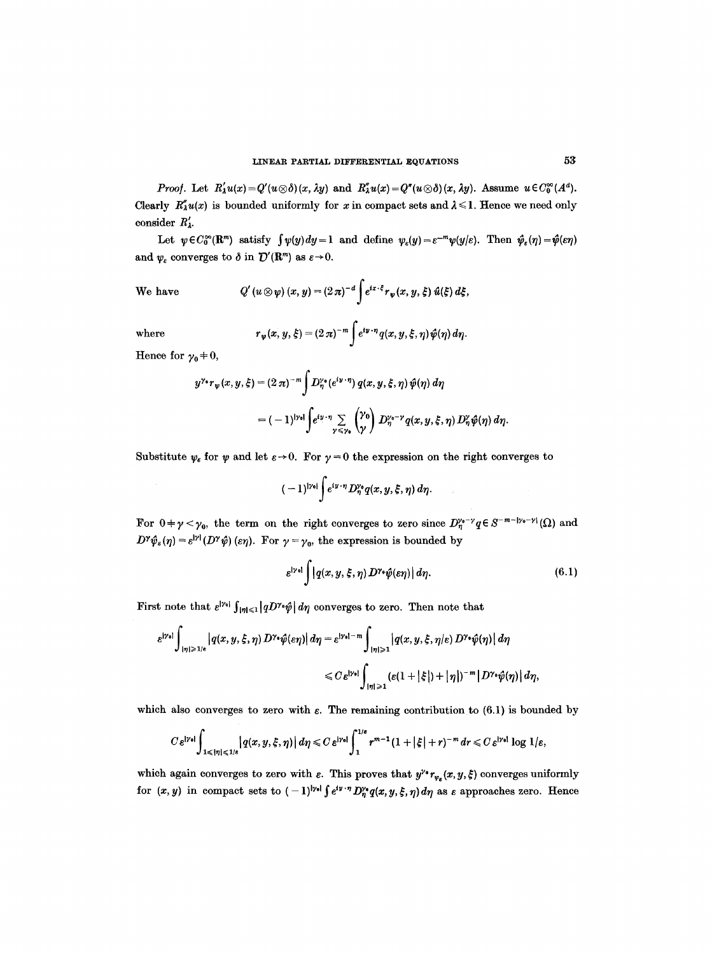*Proof.* Let  $R'_\lambda u(x) = Q'(u \otimes \delta)(x, \lambda y)$  and  $R''_\lambda u(x) = Q''(u \otimes \delta)(x, \lambda y)$ . Assume  $u \in C_0^{\infty}(A^d)$ . Clearly  $R''_{\lambda}u(x)$  is bounded uniformly for x in compact sets and  $\lambda \leq 1$ . Hence we need only consider  $R'_{\lambda}$ .

Let  $\psi \in C_0^{\infty}(\mathbb{R}^m)$  satisfy  $\int \psi(y) dy = 1$  and define  $\psi_{\varepsilon}(y) = \varepsilon^{-m} \psi(y/\varepsilon)$ . Then  $\hat{\psi}_{\varepsilon}(\eta) = \hat{\psi}(\varepsilon \eta)$ and  $\psi_{\varepsilon}$  converges to  $\delta$  in  $\mathcal{D}'(\mathbf{R}^m)$  as  $\varepsilon \to 0$ .

We have 
$$
Q'(u \otimes \psi)(x, y) = (2\pi)^{-d} \int e^{ix \cdot \xi} r_{\psi}(x, y, \xi) \hat{u}(\xi) d\xi
$$
,

where 
$$
r_{\psi}(x, y, \xi) = (2\pi)^{-m} \int e^{iy \cdot \eta} q(x, y, \xi, \eta) \hat{\psi}(\eta) d\eta.
$$

Hence for  $\gamma_0 = 0$ ,

$$
y^{\gamma_{\bullet}}r_{\psi}(x,y,\xi)=(2\,\pi)^{-m}\int D_{\eta}^{\gamma_{\bullet}}(e^{iy\cdot\eta})\,q(x,y,\xi,\eta)\,\hat{\psi}(\eta)\,d\eta
$$

$$
=(-1)^{|\gamma_{\bullet}|}\int e^{iy\cdot\eta}\sum_{\gamma\leq\gamma_{\bullet}}\binom{\gamma_{\bullet}}{\gamma}\,D_{\eta}^{\gamma_{\bullet}-\gamma}q(x,y,\xi,\eta)\,D_{\eta}^{\gamma}\hat{\psi}(\eta)\,d\eta.
$$

Substitute  $\psi_{\varepsilon}$  for  $\psi$  and let  $\varepsilon \to 0$ . For  $\gamma = 0$  the expression on the right converges to

$$
(-1)^{|\gamma_0|}\int e^{iy\cdot\eta}D_\eta^{\gamma_0}q(x,y,\xi,\eta)\,d\eta.
$$

For  $0+\gamma<\gamma_0$ , the term on the right converges to zero since  $D_{\eta}^{\gamma_0-\gamma}q\in S^{-m-|\gamma_0-\gamma|}(\Omega)$  and  $D^{\gamma}\hat{\psi}_{\varepsilon}(\eta) = \varepsilon^{|y|} (D^{\gamma}\hat{\psi})$  ( $\varepsilon\eta$ ). For  $\gamma = \gamma_0$ , the expression is bounded by

$$
\varepsilon^{|\gamma_0|} \int |q(x,y,\xi,\eta) D^{\gamma_0} \hat{\psi}(\varepsilon \eta)| d\eta. \tag{6.1}
$$

 $\hat{\mathcal{L}}$ 

First note that  $\varepsilon^{|\gamma_0|} \int_{|\eta| \leq 1} |qD^{\gamma_0} \hat{\psi}| d\eta$  converges to zero. Then note that

$$
\varepsilon^{|\gamma_0|} \int_{|\eta| \geq 1/\varepsilon} \left| q(x, y, \xi, \eta) D^{\gamma_0} \hat{\psi}(\varepsilon \eta) \right| d\eta = \varepsilon^{|\gamma_0| - m} \int_{|\eta| \geq 1} \left| q(x, y, \xi, \eta/\varepsilon) D^{\gamma_0} \hat{\psi}(\eta) \right| d\eta
$$
  

$$
\leq C \varepsilon^{|\gamma_0|} \int_{|\eta| \geq 1} \left( \varepsilon (1 + |\xi|) + |\eta| \right)^{-m} \left| D^{\gamma_0} \hat{\psi}(\eta) \right| d\eta,
$$

which also converges to zero with  $\varepsilon$ . The remaining contribution to (6.1) is bounded by

$$
C\,\varepsilon^{|\gamma_{\mathbf{d}}|}\int_{1\leqslant |\eta|\leqslant 1/\varepsilon}\left|q(x,y,\xi,\eta)\right|d\eta\leqslant C\,\varepsilon^{|\gamma_{\mathbf{d}}|}\int_{1}^{1/\varepsilon}r^{m-1}(1+|\xi|+r)^{-m}\,dr\leqslant C\,\varepsilon^{|\gamma_{\mathbf{d}}|}\log\,1/\varepsilon,
$$

which again converges to zero with  $\varepsilon$ . This proves that  $y^{\nu} r_{\nu_{\varepsilon}}(x, y, \xi)$  converges uniformly for  $(x, y)$  in compact sets to  $(-1)^{|\gamma_0|} \int e^{iy \cdot \eta} D_\eta^{\gamma_0} q(x, y, \xi, \eta) d\eta$  as  $\varepsilon$  approaches zero. Hence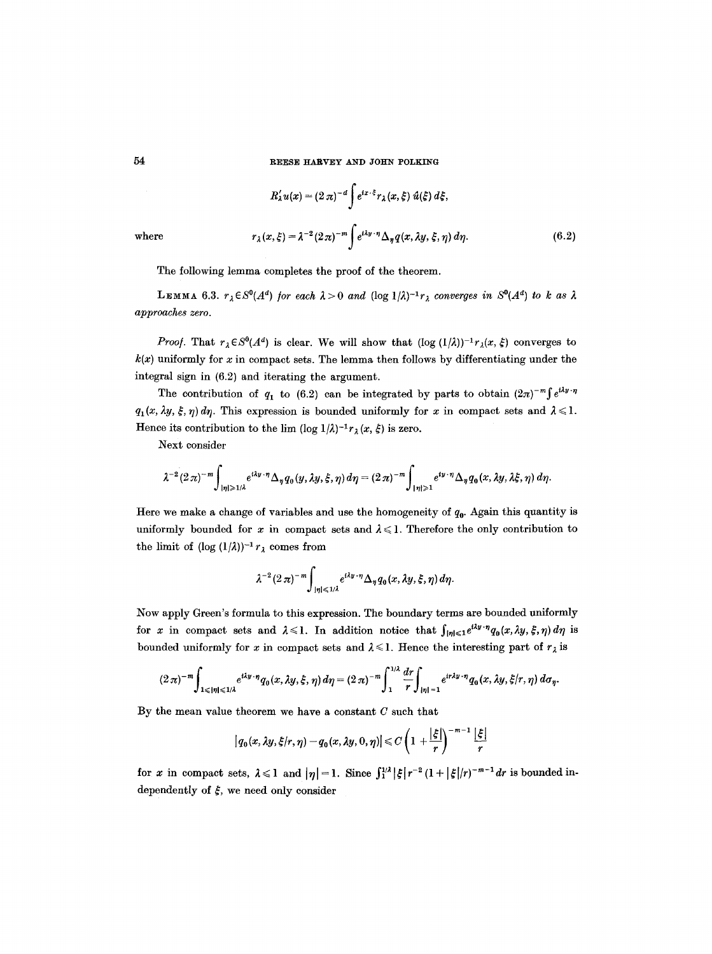$$
R'_{\lambda}u(x) = (2\,\pi)^{-d}\int e^{ix\cdot\xi}r_{\lambda}(x,\xi)\,\hat{u}(\xi)\,d\xi,
$$
  
where  

$$
r_{\lambda}(x,\xi) = \lambda^{-2}(2\,\pi)^{-m}\int e^{i\lambda y\cdot\eta}\Delta_{\eta}q(x,\lambda y,\xi,\eta)\,d\eta.
$$
 (6.2)

The following lemma completes the proof of the theorem.

LEMMA 6.3.  $r_{\lambda} \in S^{0}(A^{d})$  for each  $\lambda > 0$  and  $(\log 1/\lambda)^{-1}r_{\lambda}$  converges in  $S^{0}(A^{d})$  to k as  $\lambda$ *approaches zero.* 

*Proof.* That  $r_{\lambda} \in S^{0}(A^{d})$  is clear. We will show that  $(\log (1/\lambda))^{-1} r_{\lambda}(x, \xi)$  converges to  $k(x)$  uniformly for x in compact sets. The lemma then follows by differentiating under the integral sign in (6.2) and iterating the argument.

The contribution of  $q_1$  to (6.2) can be integrated by parts to obtain  $(2\pi)^{-m} \int e^{i\lambda y} \cdot \eta$  $q_1(x, \lambda y, \xi, \eta) d\eta$ . This expression is bounded uniformly for x in compact sets and  $\lambda \leq 1$ . Hence its contribution to the lim  $(\log 1/\lambda)^{-1}r_\lambda(x, \xi)$  is zero.

Next consider

$$
\lambda^{-2}(2\pi)^{-m}\int_{|\eta|\geq 1/\lambda}e^{i\lambda y\cdot\eta}\Delta_\eta q_0(y,\lambda y,\xi,\eta)\,d\eta=(2\pi)^{-m}\int_{|\eta|\geqslant 1}e^{iy\cdot\eta}\Delta_\eta q_0(x,\lambda y,\lambda\xi,\eta)\,d\eta.
$$

Here we make a change of variables and use the homogeneity of  $q_0$ . Again this quantity is uniformly bounded for x in compact sets and  $\lambda \leq 1$ . Therefore the only contribution to the limit of  $(\log (1/\lambda))^{-1} r_{\lambda}$  comes from

$$
\lambda^{-2} (2\pi)^{-m} \int_{|\eta| \leq 1/\lambda} e^{i\lambda y \cdot \eta} \Delta_{\eta} q_0(x, \lambda y, \xi, \eta) d\eta.
$$

Now apply Green's formula to this expression. The boundary terms are bounded uniformly for x in compact sets and  $\lambda \leq 1$ . In addition notice that  $\int_{|\eta| \leq 1} e^{i\lambda y \cdot \eta} q_0(x, \lambda y, \xi, \eta) d\eta$  is bounded uniformly for x in compact sets and  $\lambda \leq 1$ . Hence the interesting part of  $r_{\lambda}$  is

$$
(2\pi)^{-m}\int_{1\leqslant |\eta|\leqslant 1/\lambda}e^{i\lambda y\cdot\eta}q_0(x,\lambda y,\xi,\eta)\,d\eta=(2\pi)^{-m}\int_1^{1/\lambda}\frac{dr}{r}\int_{|\eta|=1}e^{ir\lambda y\cdot\eta}q_0(x,\lambda y,\xi/r,\eta)\,d\sigma_\eta.
$$

By the mean value theorem we have a constant  $C$  such that

$$
|q_0(x,\lambda y,\xi/r,\eta)-q_0(x,\lambda y,0,\eta)|\leq C\left(1+\frac{|\xi|}{r}\right)^{-m-1}\frac{|\xi|}{r}
$$

for x in compact sets,  $\lambda \leq 1$  and  $|\eta| = 1$ . Since  $\int_1^{1/\lambda} |\xi| r^{-2} (1 + |\xi|/r)^{-m-1} dr$  is bounded independently of  $\xi$ , we need only consider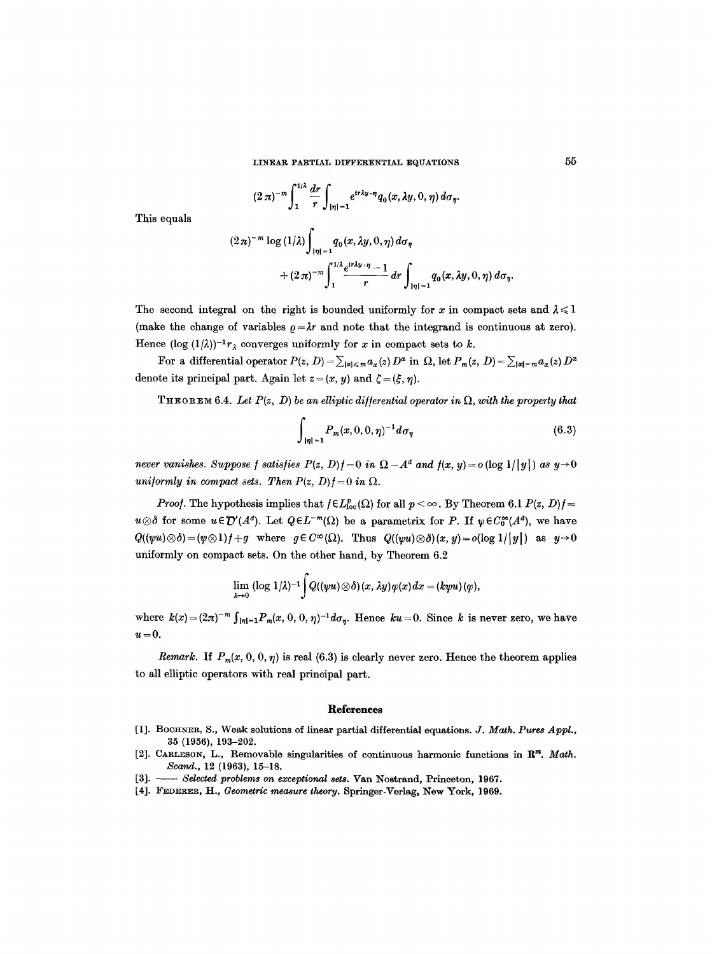**LINEAR PARTIAL DIFFERENTIAL EQUATIONS** 55

$$
(2\,\pi)^{-m}\int_1^{1/\lambda}\frac{dr}{r}\int_{|\eta|=1}e^{ir\lambda y\cdot\eta}q_0(x,\lambda y,0,\eta)\,d\sigma_\eta.
$$

This equals

$$
(2\pi)^{-m} \log (1/\lambda) \int_{|\eta|=1} q_0(x, \lambda y, 0, \eta) d\sigma_{\eta} + (2\pi)^{-m} \int_{1}^{1/\lambda} \frac{e^{i\tau \lambda y \cdot \eta} - 1}{r} dr \int_{|\eta|=1} q_0(x, \lambda y, 0, \eta) d\sigma_{\eta}.
$$

The second integral on the right is bounded uniformly for x in compact sets and  $\lambda \leq 1$ (make the change of variables  $\rho = \lambda r$  and note that the integrand is continuous at zero). Hence  $(\log (1/\lambda))^{-1}r_{\lambda}$  converges uniformly for x in compact sets to k.

For a differential operator  $P(z, D) = \sum_{|\alpha| \leq m} a_{\alpha}(z) D^{\alpha}$  in  $\Omega$ , let  $P_m(z, D) = \sum_{|\alpha| = m} a_{\alpha}(z) D^{\alpha}$ denote its principal part. Again let  $z = (x, y)$  and  $\zeta = (\xi, \eta)$ .

**THEOREM 6.4.** Let  $P(z, D)$  be an elliptic differential operator in  $\Omega$ , with the property that

$$
\int_{|\eta|=1} P_m(x,0,0,\eta)^{-1} d\sigma_{\eta}
$$
\n(6.3)

*never vanishes. Suppose f satisfies*  $P(z, D)$ *f* = 0 in  $\Omega - A^d$  and  $f(x, y) = o(\log 1/|y|)$  as  $y \rightarrow 0$ *uniformly in compact sets. Then*  $P(z, D) f = 0$  *in*  $\Omega$ .

*Proof.* The hypothesis implies that  $f \in L_{loc}^p(\Omega)$  for all  $p < \infty$ . By Theorem 6.1  $P(z, D)f =$  $u\otimes \delta$  for some  $u\in \mathcal{D}'(A^d)$ . Let  $Q\in L^{-m}(\Omega)$  be a parametrix for P. If  $\psi \in C_0^{\infty}(A^d)$ , we have  $Q((\psi u)\otimes \delta)=(\psi\otimes 1)f+g$  where  $g\in C^{\infty}(\Omega)$ . Thus  $Q((\psi u)\otimes \delta)(x, y)=o(\log 1/|y|)$  as  $y\to 0$ uniformly on compact sets. On the other hand, by Theorem 6.2

$$
\lim_{\lambda\to 0} (\log 1/\lambda)^{-1} \int Q((\psi u)\otimes \delta)(x,\lambda y)\varphi(x) dx = (k\psi u)(\varphi),
$$

where  $k(x) = (2\pi)^{-m} \int_{|\eta|=1} P_m(x, 0, 0, \eta)^{-1} d\sigma_{\eta}$ . Hence  $ku = 0$ . Since k is never zero, we have  $u=0.$ 

*Remark.* If  $P_m(x, 0, 0, \eta)$  is real (6.3) is clearly never zero. Hence the theorem applies to all elliptic operators with real principal part.

#### **References**

- [1]. BOCHNER, S., Weak solutions of linear partial differential equations. *J. Math. Pures Appl.*, 35 (1956), 193-202.
- [2]. CARLESON, L., Removable singularities of continuous harmonic functions in R<sup>m</sup>. Math. Scand., 12 (1963), 15-18.
- [3]. *Selected problems on exceptional sets.* Van Nostrand, Princeton, 1967.
- [4]. FEDERER, H., *Geometric measure theory.* Springer-Verlag, New York, 1969.